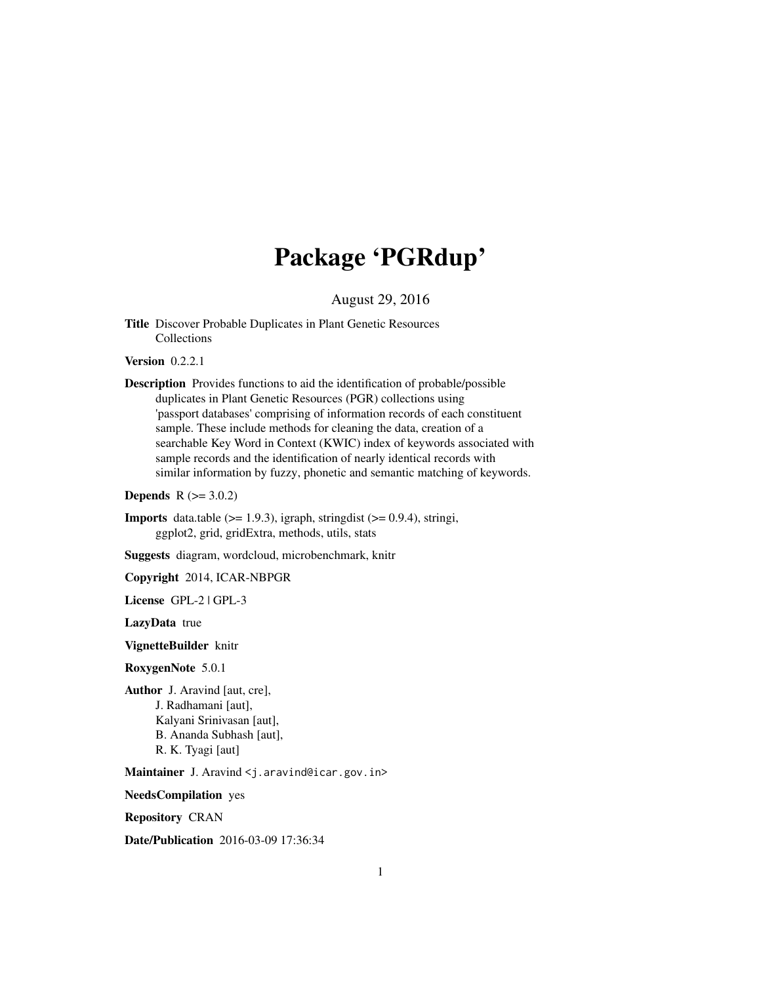# Package 'PGRdup'

August 29, 2016

<span id="page-0-0"></span>Title Discover Probable Duplicates in Plant Genetic Resources Collections

**Version** 0.2.2.1

Description Provides functions to aid the identification of probable/possible duplicates in Plant Genetic Resources (PGR) collections using 'passport databases' comprising of information records of each constituent sample. These include methods for cleaning the data, creation of a searchable Key Word in Context (KWIC) index of keywords associated with sample records and the identification of nearly identical records with similar information by fuzzy, phonetic and semantic matching of keywords.

**Depends**  $R$  ( $>= 3.0.2$ )

**Imports** data.table  $(>= 1.9.3)$ , igraph, stringdist  $(>= 0.9.4)$ , stringi, ggplot2, grid, gridExtra, methods, utils, stats

Suggests diagram, wordcloud, microbenchmark, knitr

Copyright 2014, ICAR-NBPGR

License GPL-2 | GPL-3

LazyData true

VignetteBuilder knitr

RoxygenNote 5.0.1

Author J. Aravind [aut, cre], J. Radhamani [aut], Kalyani Srinivasan [aut], B. Ananda Subhash [aut], R. K. Tyagi [aut]

Maintainer J. Aravind <j.aravind@icar.gov.in>

NeedsCompilation yes

Repository CRAN

Date/Publication 2016-03-09 17:36:34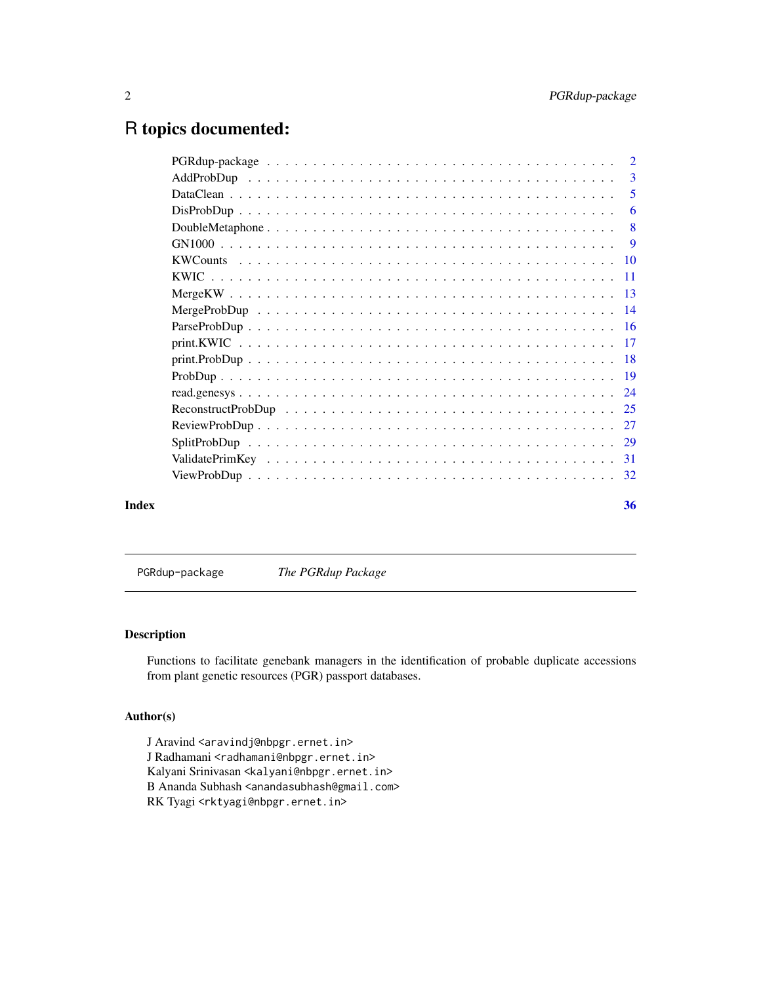# <span id="page-1-0"></span>R topics documented:

|       | $\overline{2}$ |
|-------|----------------|
|       | 3              |
|       | 5              |
|       | 6              |
|       | -8             |
|       | -9             |
|       |                |
|       |                |
|       |                |
|       |                |
|       |                |
|       |                |
|       |                |
|       |                |
|       |                |
|       |                |
|       |                |
|       |                |
|       |                |
|       |                |
| Index | 36             |
|       |                |

PGRdup-package *The PGRdup Package*

# Description

Functions to facilitate genebank managers in the identification of probable duplicate accessions from plant genetic resources (PGR) passport databases.

# Author(s)

J Aravind <aravindj@nbpgr.ernet.in> J Radhamani <radhamani@nbpgr.ernet.in> Kalyani Srinivasan <kalyani@nbpgr.ernet.in> B Ananda Subhash <anandasubhash@gmail.com> RK Tyagi <rktyagi@nbpgr.ernet.in>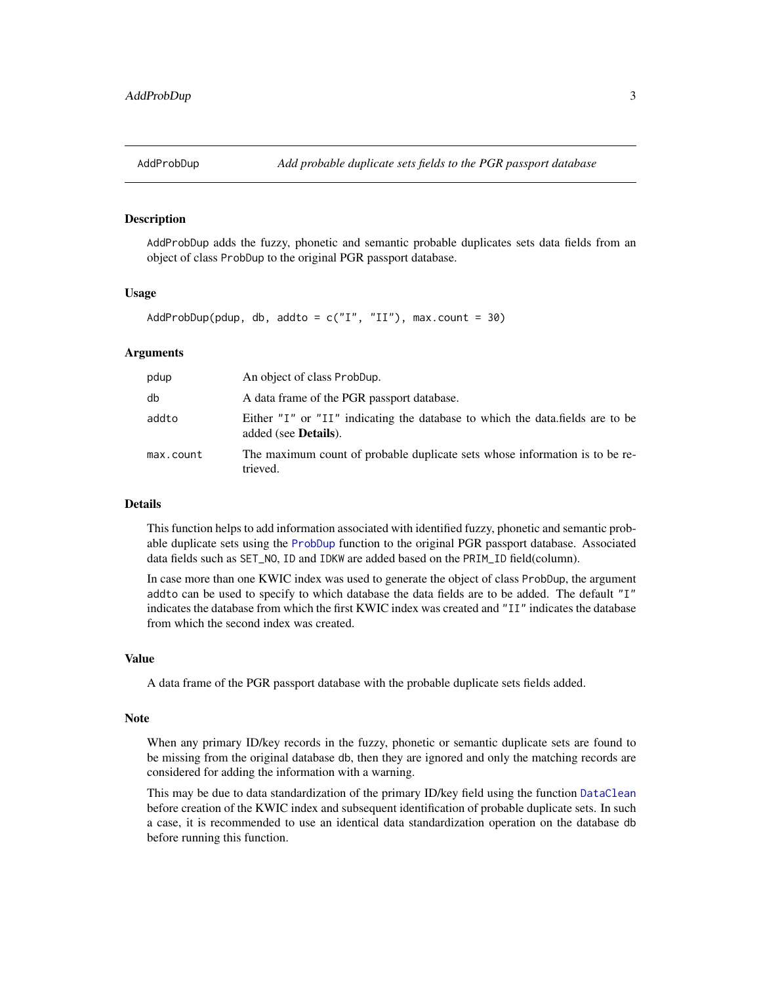<span id="page-2-1"></span><span id="page-2-0"></span>

#### Description

AddProbDup adds the fuzzy, phonetic and semantic probable duplicates sets data fields from an object of class ProbDup to the original PGR passport database.

#### Usage

```
AddProbDup(pdup, db, addto = c("I", "II"), max.count = 30)
```
#### Arguments

| pdup      | An object of class ProbDup.                                                                                   |  |
|-----------|---------------------------------------------------------------------------------------------------------------|--|
| db        | A data frame of the PGR passport database.                                                                    |  |
| addto     | Either "I" or "II" indicating the database to which the data.fields are to be<br>added (see <b>Details</b> ). |  |
| max.count | The maximum count of probable duplicate sets whose information is to be re-<br>trieved.                       |  |

#### Details

This function helps to add information associated with identified fuzzy, phonetic and semantic probable duplicate sets using the [ProbDup](#page-18-1) function to the original PGR passport database. Associated data fields such as SET\_NO, ID and IDKW are added based on the PRIM\_ID field(column).

In case more than one KWIC index was used to generate the object of class ProbDup, the argument addto can be used to specify to which database the data fields are to be added. The default "I" indicates the database from which the first KWIC index was created and "II" indicates the database from which the second index was created.

#### Value

A data frame of the PGR passport database with the probable duplicate sets fields added.

#### Note

When any primary ID/key records in the fuzzy, phonetic or semantic duplicate sets are found to be missing from the original database db, then they are ignored and only the matching records are considered for adding the information with a warning.

This may be due to data standardization of the primary ID/key field using the function [DataClean](#page-4-1) before creation of the KWIC index and subsequent identification of probable duplicate sets. In such a case, it is recommended to use an identical data standardization operation on the database db before running this function.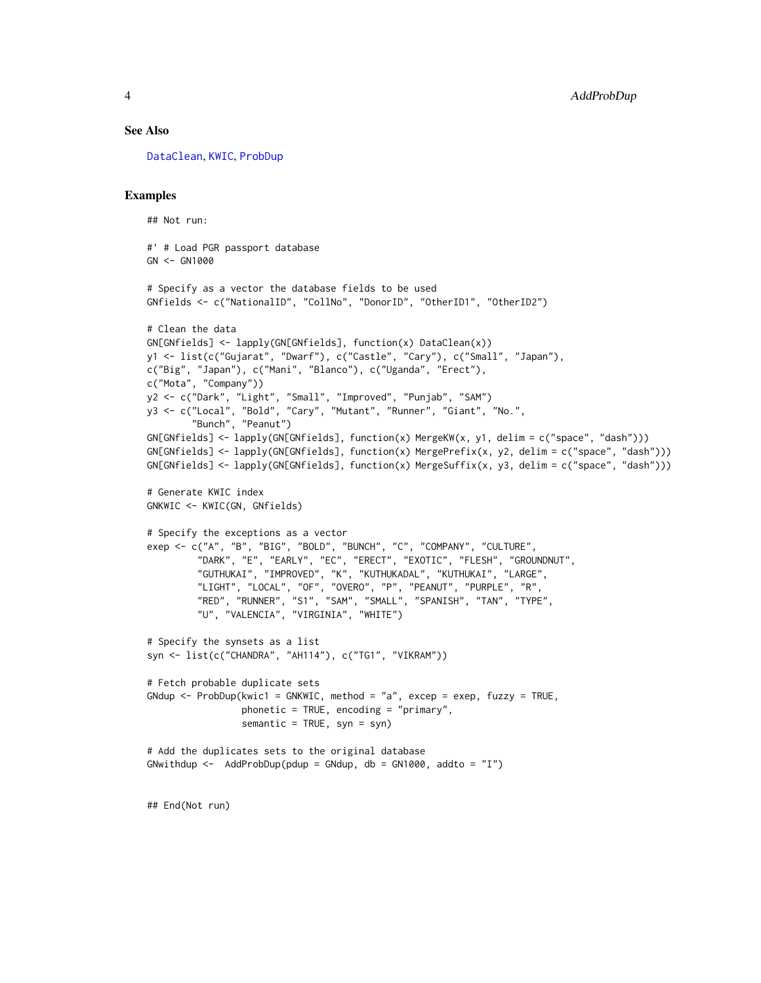#### <span id="page-3-0"></span>See Also

[DataClean](#page-4-1), [KWIC](#page-10-1), [ProbDup](#page-18-1)

```
## Not run:
#' # Load PGR passport database
GN <- GN1000
# Specify as a vector the database fields to be used
GNfields <- c("NationalID", "CollNo", "DonorID", "OtherID1", "OtherID2")
# Clean the data
GN[GNfields] <- lapply(GN[GNfields], function(x) DataClean(x))
y1 <- list(c("Gujarat", "Dwarf"), c("Castle", "Cary"), c("Small", "Japan"),
c("Big", "Japan"), c("Mani", "Blanco"), c("Uganda", "Erect"),
c("Mota", "Company"))
y2 <- c("Dark", "Light", "Small", "Improved", "Punjab", "SAM")
y3 <- c("Local", "Bold", "Cary", "Mutant", "Runner", "Giant", "No.",
        "Bunch", "Peanut")
GN[GNfields] <- lapply(GN[GNfields], function(x) MergeKW(x, y1, delim = c("space", "dash")))
GN[GNfields] <- lapply(GN[GNfields], function(x) MergePrefix(x, y2, delim = c("space", "dash")))
GN[GNfields] \leftarrow \text{lapply}(GN[GNfields], function(x) \text{ MergeSuffix}(x, y3, \text{ delim} = c("space", "dash"))# Generate KWIC index
GNKWIC <- KWIC(GN, GNfields)
# Specify the exceptions as a vector
exep <- c("A", "B", "BIG", "BOLD", "BUNCH", "C", "COMPANY", "CULTURE",
         "DARK", "E", "EARLY", "EC", "ERECT", "EXOTIC", "FLESH", "GROUNDNUT",
         "GUTHUKAI", "IMPROVED", "K", "KUTHUKADAL", "KUTHUKAI", "LARGE",
         "LIGHT", "LOCAL", "OF", "OVERO", "P", "PEANUT", "PURPLE", "R",
         "RED", "RUNNER", "S1", "SAM", "SMALL", "SPANISH", "TAN", "TYPE",
         "U", "VALENCIA", "VIRGINIA", "WHITE")
# Specify the synsets as a list
syn <- list(c("CHANDRA", "AH114"), c("TG1", "VIKRAM"))
# Fetch probable duplicate sets
GNdup <- ProbDup(kwic1 = GNKWIC, method = "a", excep = exep, fuzzy = TRUE,
                 phonetic = TRUE, encoding = "primary",
                 semantic = TRUE, syn = syn)
# Add the duplicates sets to the original database
GNwithdup \le - AddProbDup(pdup = GNdup, db = GN1000, addto = "I")
## End(Not run)
```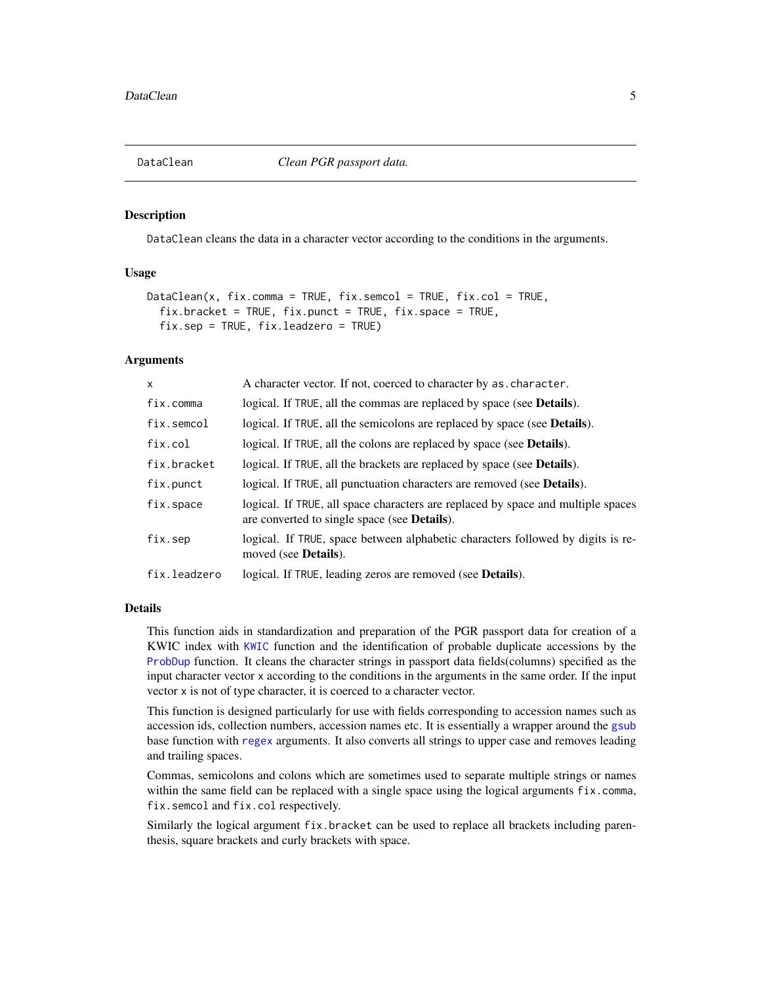<span id="page-4-1"></span><span id="page-4-0"></span>

#### Description

DataClean cleans the data in a character vector according to the conditions in the arguments.

# Usage

```
DataClean(x, fix.comma = TRUE, fix.semcol = TRUE, fix.co1 = TRUE,fix.bracket = TRUE, fix.punct = TRUE, fix.space = TRUE,
  fix.sep = TRUE, fix.leadzero = TRUE)
```
# Arguments

| $\mathsf{x}$ | A character vector. If not, coerced to character by as, character.                                                                       |
|--------------|------------------------------------------------------------------------------------------------------------------------------------------|
| fix.comma    | logical. If TRUE, all the commas are replaced by space (see Details).                                                                    |
| fix.semcol   | logical. If TRUE, all the semicolons are replaced by space (see <b>Details</b> ).                                                        |
| fix.col      | logical. If TRUE, all the colons are replaced by space (see <b>Details</b> ).                                                            |
| fix.bracket  | logical. If TRUE, all the brackets are replaced by space (see <b>Details</b> ).                                                          |
| fix.punct    | logical. If TRUE, all punctuation characters are removed (see Details).                                                                  |
| fix.space    | logical. If TRUE, all space characters are replaced by space and multiple spaces<br>are converted to single space (see <b>Details</b> ). |
| fix.sep      | logical. If TRUE, space between alphabetic characters followed by digits is re-<br>moved (see <b>Details</b> ).                          |
| fix.leadzero | logical. If TRUE, leading zeros are removed (see <b>Details</b> ).                                                                       |
|              |                                                                                                                                          |

# Details

This function aids in standardization and preparation of the PGR passport data for creation of a KWIC index with [KWIC](#page-10-1) function and the identification of probable duplicate accessions by the [ProbDup](#page-18-1) function. It cleans the character strings in passport data fields(columns) specified as the input character vector x according to the conditions in the arguments in the same order. If the input vector x is not of type character, it is coerced to a character vector.

This function is designed particularly for use with fields corresponding to accession names such as accession ids, collection numbers, accession names etc. It is essentially a wrapper around the [gsub](#page-0-0) base function with [regex](#page-0-0) arguments. It also converts all strings to upper case and removes leading and trailing spaces.

Commas, semicolons and colons which are sometimes used to separate multiple strings or names within the same field can be replaced with a single space using the logical arguments fix.comma, fix.semcol and fix.col respectively.

Similarly the logical argument fix.bracket can be used to replace all brackets including parenthesis, square brackets and curly brackets with space.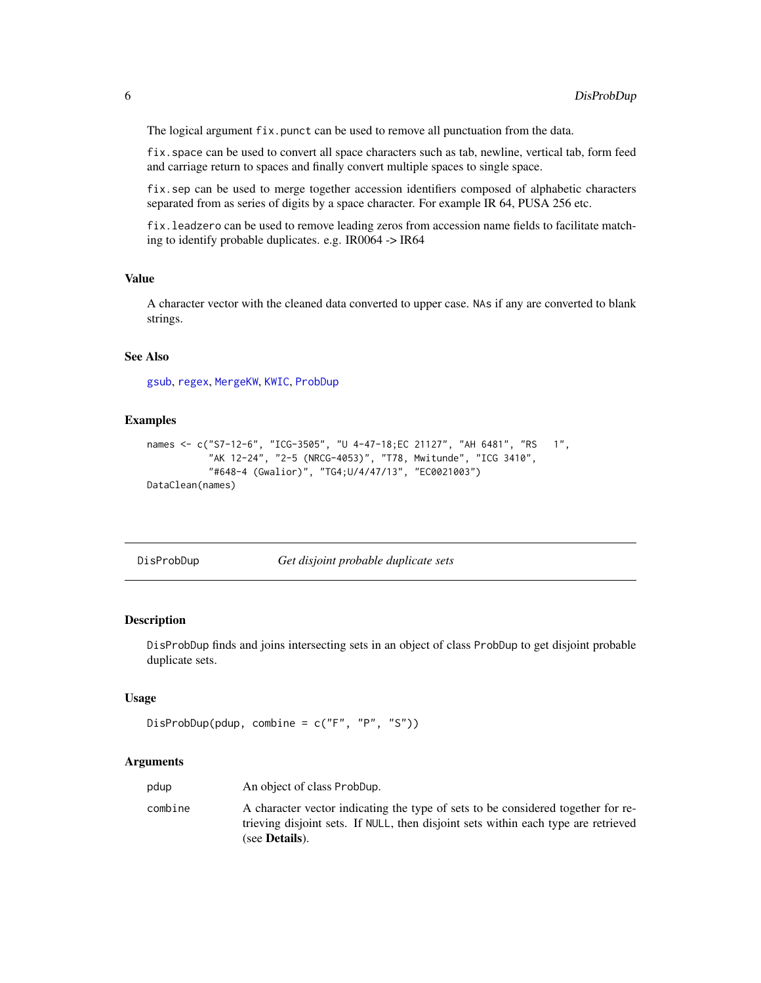<span id="page-5-0"></span>The logical argument fix.punct can be used to remove all punctuation from the data.

fix.space can be used to convert all space characters such as tab, newline, vertical tab, form feed and carriage return to spaces and finally convert multiple spaces to single space.

fix.sep can be used to merge together accession identifiers composed of alphabetic characters separated from as series of digits by a space character. For example IR 64, PUSA 256 etc.

fix.leadzero can be used to remove leading zeros from accession name fields to facilitate matching to identify probable duplicates. e.g. IR0064 -> IR64

### Value

A character vector with the cleaned data converted to upper case. NAs if any are converted to blank strings.

#### See Also

[gsub](#page-0-0), [regex](#page-0-0), [MergeKW](#page-12-1), [KWIC](#page-10-1), [ProbDup](#page-18-1)

#### Examples

```
names <- c("S7-12-6", "ICG-3505", "U 4-47-18;EC 21127", "AH 6481", "RS 1",
           "AK 12-24", "2-5 (NRCG-4053)", "T78, Mwitunde", "ICG 3410",
           "#648-4 (Gwalior)", "TG4;U/4/47/13", "EC0021003")
DataClean(names)
```
<span id="page-5-1"></span>DisProbDup *Get disjoint probable duplicate sets*

#### Description

DisProbDup finds and joins intersecting sets in an object of class ProbDup to get disjoint probable duplicate sets.

#### Usage

```
DisProbDup(pdup, combine = c("F", "P", "S"))
```
#### Arguments

| pdup    | An object of class ProbDup.                                                                                                                                                                      |  |
|---------|--------------------------------------------------------------------------------------------------------------------------------------------------------------------------------------------------|--|
| combine | A character vector indicating the type of sets to be considered together for re-<br>trieving disjoint sets. If NULL, then disjoint sets within each type are retrieved<br>(see <b>Details</b> ). |  |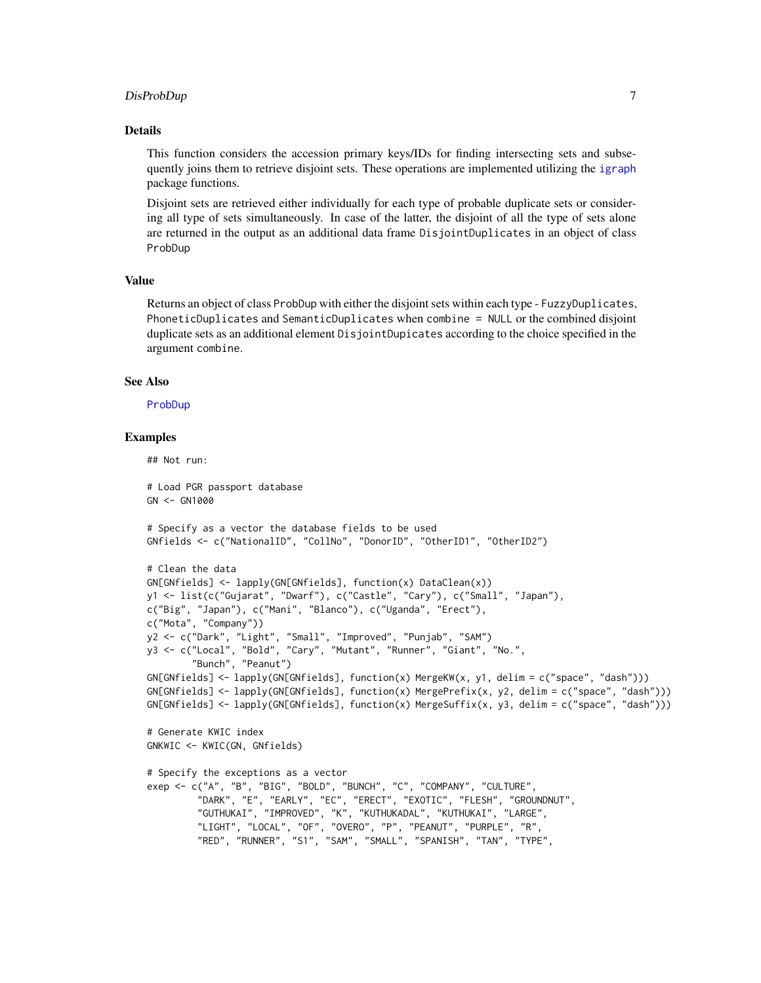# <span id="page-6-0"></span>DisProbDup 7

#### Details

This function considers the accession primary keys/IDs for finding intersecting sets and subsequently joins them to retrieve disjoint sets. These operations are implemented utilizing the [igraph](#page-0-0) package functions.

Disjoint sets are retrieved either individually for each type of probable duplicate sets or considering all type of sets simultaneously. In case of the latter, the disjoint of all the type of sets alone are returned in the output as an additional data frame DisjointDuplicates in an object of class ProbDup

#### Value

Returns an object of class ProbDup with either the disjoint sets within each type - FuzzyDuplicates, PhoneticDuplicates and SemanticDuplicates when combine = NULL or the combined disjoint duplicate sets as an additional element DisjointDupicates according to the choice specified in the argument combine.

# See Also

#### [ProbDup](#page-18-1)

# Examples

## Not run: # Load PGR passport database  $GN < -$  GN1000 # Specify as a vector the database fields to be used GNfields <- c("NationalID", "CollNo", "DonorID", "OtherID1", "OtherID2") # Clean the data GN[GNfields] <- lapply(GN[GNfields], function(x) DataClean(x)) y1 <- list(c("Gujarat", "Dwarf"), c("Castle", "Cary"), c("Small", "Japan"), c("Big", "Japan"), c("Mani", "Blanco"), c("Uganda", "Erect"), c("Mota", "Company")) y2 <- c("Dark", "Light", "Small", "Improved", "Punjab", "SAM") y3 <- c("Local", "Bold", "Cary", "Mutant", "Runner", "Giant", "No.", "Bunch", "Peanut") GN[GNfields] <- lapply(GN[GNfields], function(x) MergeKW(x, y1, delim = c("space", "dash"))) GN[GNfields] <- lapply(GN[GNfields], function(x) MergePrefix(x, y2, delim = c("space", "dash"))) GN[GNfields] <- lapply(GN[GNfields], function(x) MergeSuffix(x, y3, delim = c("space", "dash"))) # Generate KWIC index GNKWIC <- KWIC(GN, GNfields) # Specify the exceptions as a vector exep <- c("A", "B", "BIG", "BOLD", "BUNCH", "C", "COMPANY", "CULTURE", "DARK", "E", "EARLY", "EC", "ERECT", "EXOTIC", "FLESH", "GROUNDNUT", "GUTHUKAI", "IMPROVED", "K", "KUTHUKADAL", "KUTHUKAI", "LARGE", "LIGHT", "LOCAL", "OF", "OVERO", "P", "PEANUT", "PURPLE", "R", "RED", "RUNNER", "S1", "SAM", "SMALL", "SPANISH", "TAN", "TYPE",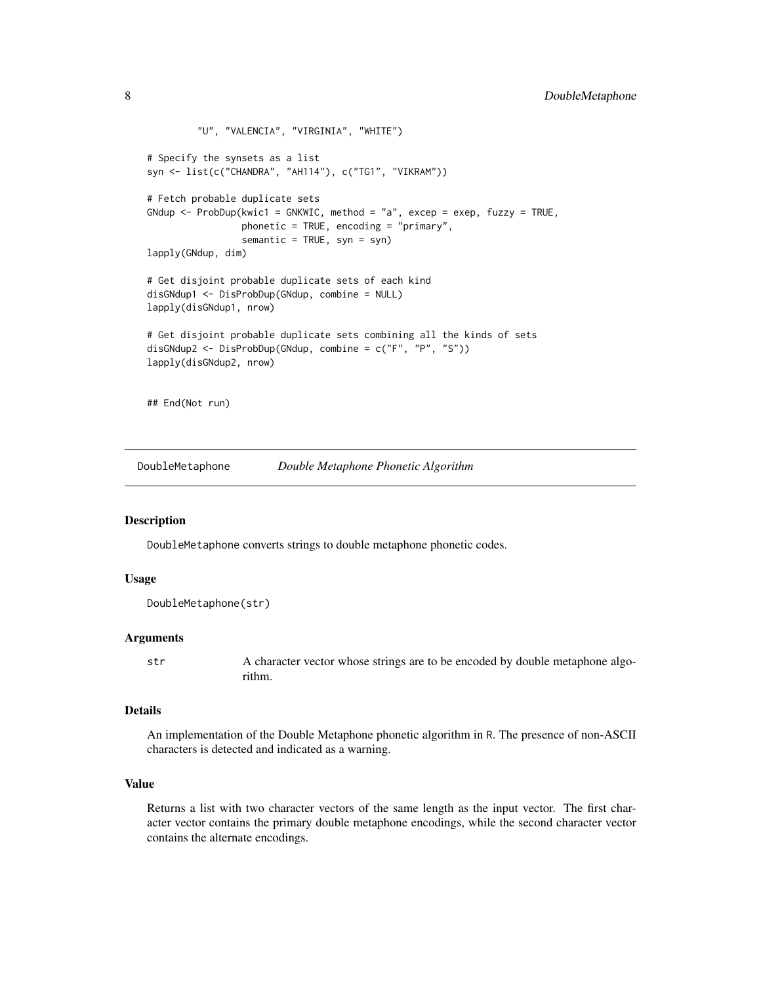```
"U", "VALENCIA", "VIRGINIA", "WHITE")
# Specify the synsets as a list
syn <- list(c("CHANDRA", "AH114"), c("TG1", "VIKRAM"))
# Fetch probable duplicate sets
GNdup <- ProbDup(kwic1 = GNKWIC, method = "a", excep = exep, fuzzy = TRUE,
                 phonetic = TRUE, encoding = "primary",
                 semantic = TRUE, syn = syn)
lapply(GNdup, dim)
# Get disjoint probable duplicate sets of each kind
disGNdup1 <- DisProbDup(GNdup, combine = NULL)
lapply(disGNdup1, nrow)
# Get disjoint probable duplicate sets combining all the kinds of sets
disGNdup2 <- DisProbDup(GNdup, combine = c("F", "P", "S"))
lapply(disGNdup2, nrow)
## End(Not run)
```
<span id="page-7-1"></span>DoubleMetaphone *Double Metaphone Phonetic Algorithm*

#### Description

DoubleMetaphone converts strings to double metaphone phonetic codes.

#### Usage

```
DoubleMetaphone(str)
```
#### Arguments

str A character vector whose strings are to be encoded by double metaphone algorithm.

#### Details

An implementation of the Double Metaphone phonetic algorithm in R. The presence of non-ASCII characters is detected and indicated as a warning.

### Value

Returns a list with two character vectors of the same length as the input vector. The first character vector contains the primary double metaphone encodings, while the second character vector contains the alternate encodings.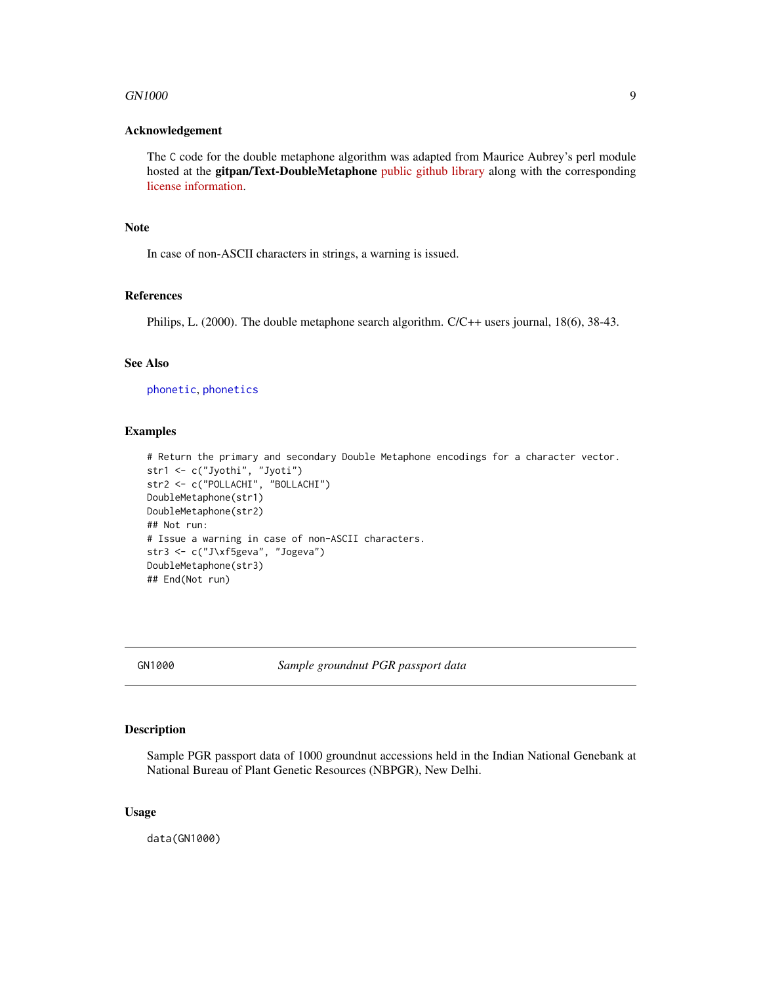#### <span id="page-8-0"></span>GN1000 9

#### Acknowledgement

The C code for the double metaphone algorithm was adapted from Maurice Aubrey's perl module hosted at the gitpan/Text-DoubleMetaphone [public github library](https://github.com/gitpan/Text-DoubleMetaphone/blob/master/double_metaphone.c) along with the corresponding [license information.](https://github.com/gitpan/Text-DoubleMetaphone/blob/master/README)

# Note

In case of non-ASCII characters in strings, a warning is issued.

# References

Philips, L. (2000). The double metaphone search algorithm. C/C++ users journal, 18(6), 38-43.

#### See Also

[phonetic](#page-0-0), [phonetics](#page-0-0)

#### Examples

```
# Return the primary and secondary Double Metaphone encodings for a character vector.
str1 <- c("Jyothi", "Jyoti")
str2 <- c("POLLACHI", "BOLLACHI")
DoubleMetaphone(str1)
DoubleMetaphone(str2)
## Not run:
# Issue a warning in case of non-ASCII characters.
str3 <- c("J\xf5geva", "Jogeva")
DoubleMetaphone(str3)
## End(Not run)
```
GN1000 *Sample groundnut PGR passport data*

# Description

Sample PGR passport data of 1000 groundnut accessions held in the Indian National Genebank at National Bureau of Plant Genetic Resources (NBPGR), New Delhi.

#### Usage

data(GN1000)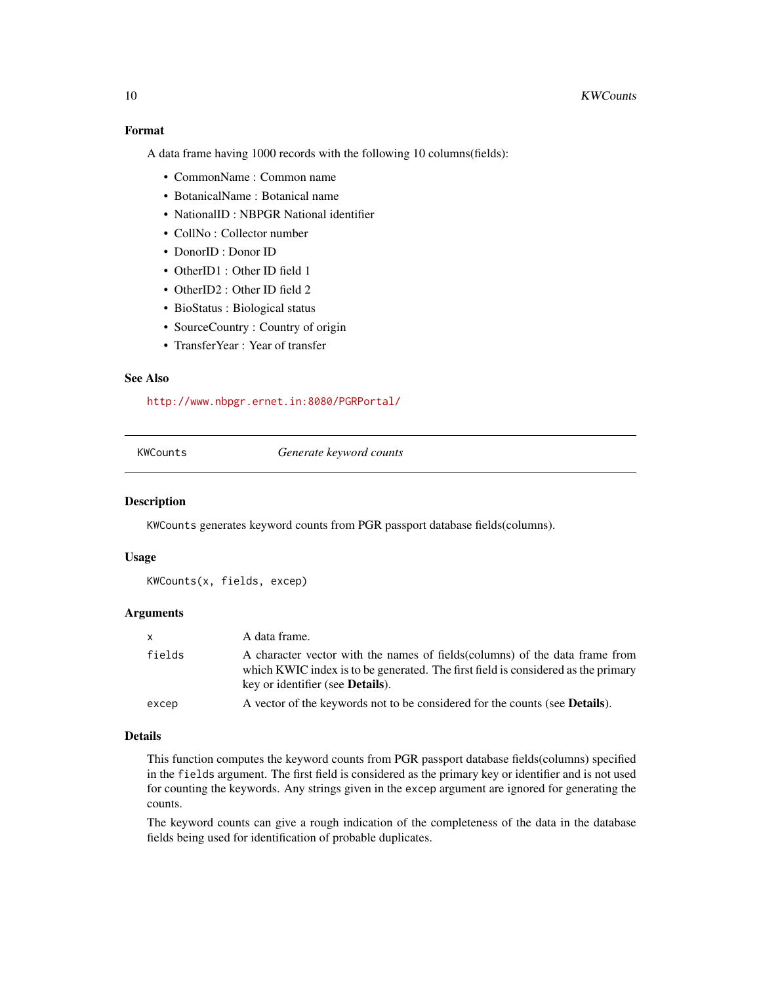# <span id="page-9-0"></span>Format

A data frame having 1000 records with the following 10 columns(fields):

- CommonName : Common name
- BotanicalName : Botanical name
- NationalID : NBPGR National identifier
- CollNo : Collector number
- DonorID : Donor ID
- OtherID1 : Other ID field 1
- OtherID2 : Other ID field 2
- BioStatus : Biological status
- SourceCountry : Country of origin
- TransferYear : Year of transfer

# See Also

<http://www.nbpgr.ernet.in:8080/PGRPortal/>

KWCounts *Generate keyword counts*

#### Description

KWCounts generates keyword counts from PGR passport database fields(columns).

# Usage

```
KWCounts(x, fields, excep)
```
# Arguments

| $\mathsf{x}$ | A data frame.                                                                                                                                                                                                 |
|--------------|---------------------------------------------------------------------------------------------------------------------------------------------------------------------------------------------------------------|
| fields       | A character vector with the names of fields (columns) of the data frame from<br>which KWIC index is to be generated. The first field is considered as the primary<br>key or identifier (see <b>Details</b> ). |
| excep        | A vector of the keywords not to be considered for the counts (see <b>Details</b> ).                                                                                                                           |

#### Details

This function computes the keyword counts from PGR passport database fields(columns) specified in the fields argument. The first field is considered as the primary key or identifier and is not used for counting the keywords. Any strings given in the excep argument are ignored for generating the counts.

The keyword counts can give a rough indication of the completeness of the data in the database fields being used for identification of probable duplicates.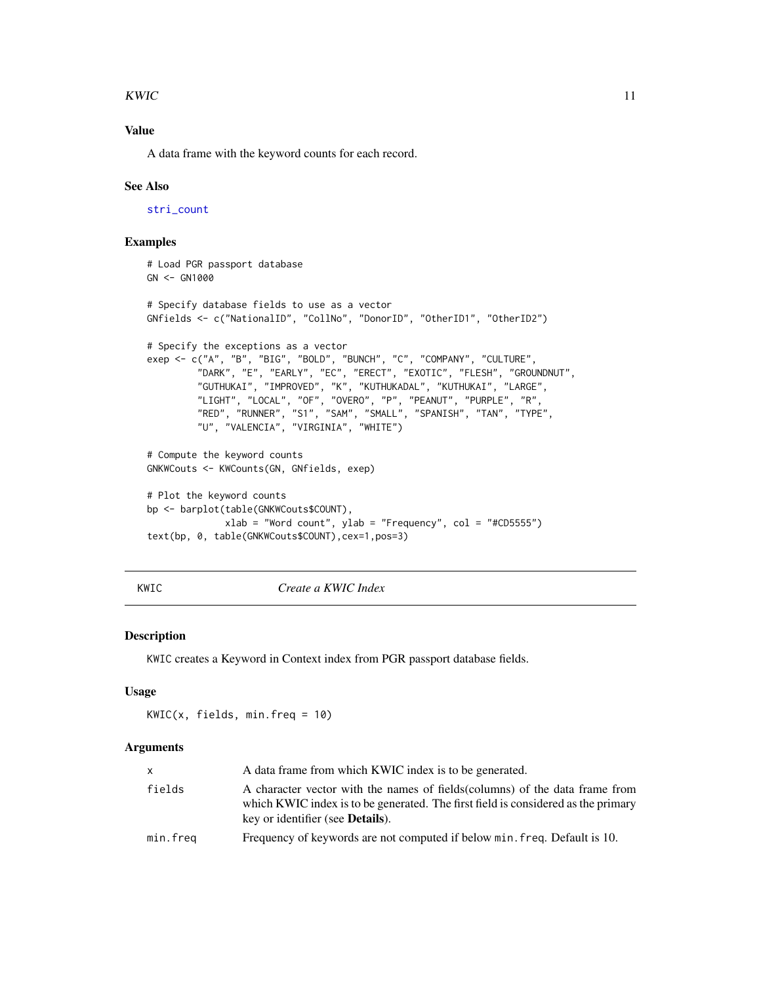#### <span id="page-10-0"></span>KWIC  $\sim$  11

# Value

A data frame with the keyword counts for each record.

#### See Also

[stri\\_count](#page-0-0)

# Examples

```
# Load PGR passport database
GN < - GN1000# Specify database fields to use as a vector
GNfields <- c("NationalID", "CollNo", "DonorID", "OtherID1", "OtherID2")
# Specify the exceptions as a vector
exep <- c("A", "B", "BIG", "BOLD", "BUNCH", "C", "COMPANY", "CULTURE",
         "DARK", "E", "EARLY", "EC", "ERECT", "EXOTIC", "FLESH", "GROUNDNUT",
         "GUTHUKAI", "IMPROVED", "K", "KUTHUKADAL", "KUTHUKAI", "LARGE",
         "LIGHT", "LOCAL", "OF", "OVERO", "P", "PEANUT", "PURPLE", "R",
         "RED", "RUNNER", "S1", "SAM", "SMALL", "SPANISH", "TAN", "TYPE",
         "U", "VALENCIA", "VIRGINIA", "WHITE")
# Compute the keyword counts
GNKWCouts <- KWCounts(GN, GNfields, exep)
# Plot the keyword counts
bp <- barplot(table(GNKWCouts$COUNT),
              xlab = "Word count", ylab = "Frequency", col = "#CD5555")
text(bp, 0, table(GNKWCouts$COUNT),cex=1,pos=3)
```
KWIC *Create a KWIC Index*

# Description

KWIC creates a Keyword in Context index from PGR passport database fields.

#### Usage

 $KWIC(x, fields, min.freq = 10)$ 

#### Arguments

| X.       | A data frame from which KWIC index is to be generated.                                                                                                                                                        |  |
|----------|---------------------------------------------------------------------------------------------------------------------------------------------------------------------------------------------------------------|--|
| fields   | A character vector with the names of fields (columns) of the data frame from<br>which KWIC index is to be generated. The first field is considered as the primary<br>key or identifier (see <b>Details</b> ). |  |
| min.freq | Frequency of keywords are not computed if below min. freq. Default is 10.                                                                                                                                     |  |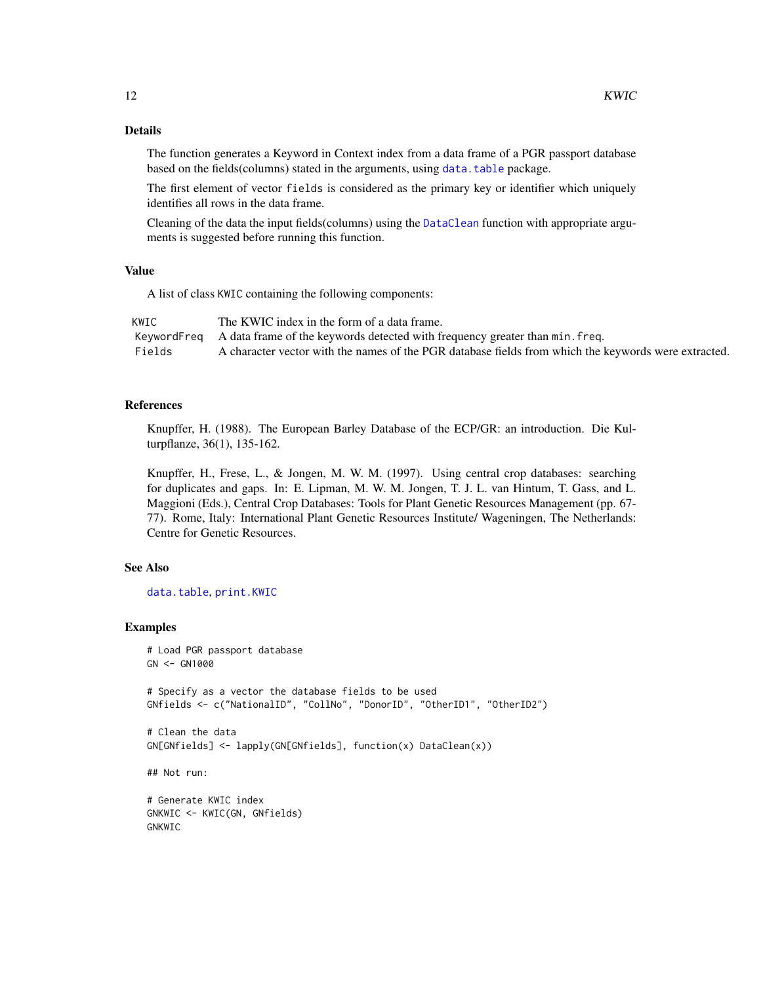# <span id="page-11-0"></span>Details

The function generates a Keyword in Context index from a data frame of a PGR passport database based on the fields(columns) stated in the arguments, using [data.table](#page-0-0) package.

The first element of vector fields is considered as the primary key or identifier which uniquely identifies all rows in the data frame.

Cleaning of the data the input fields(columns) using the [DataClean](#page-4-1) function with appropriate arguments is suggested before running this function.

### Value

A list of class KWIC containing the following components:

| KWIC   | The KWIC index in the form of a data frame.                                                          |
|--------|------------------------------------------------------------------------------------------------------|
|        | KeywordFreq A data frame of the keywords detected with frequency greater than min. freq.             |
| Fields | A character vector with the names of the PGR database fields from which the keywords were extracted. |

# References

Knupffer, H. (1988). The European Barley Database of the ECP/GR: an introduction. Die Kulturpflanze, 36(1), 135-162.

Knupffer, H., Frese, L., & Jongen, M. W. M. (1997). Using central crop databases: searching for duplicates and gaps. In: E. Lipman, M. W. M. Jongen, T. J. L. van Hintum, T. Gass, and L. Maggioni (Eds.), Central Crop Databases: Tools for Plant Genetic Resources Management (pp. 67- 77). Rome, Italy: International Plant Genetic Resources Institute/ Wageningen, The Netherlands: Centre for Genetic Resources.

# See Also

[data.table](#page-0-0), [print.KWIC](#page-16-1)

```
# Load PGR passport database
GN <- GN1000
# Specify as a vector the database fields to be used
GNfields <- c("NationalID", "CollNo", "DonorID", "OtherID1", "OtherID2")
# Clean the data
GN[GNfields] <- lapply(GN[GNfields], function(x) DataClean(x))
## Not run:
# Generate KWIC index
GNKWIC <- KWIC(GN, GNfields)
GNKWIC
```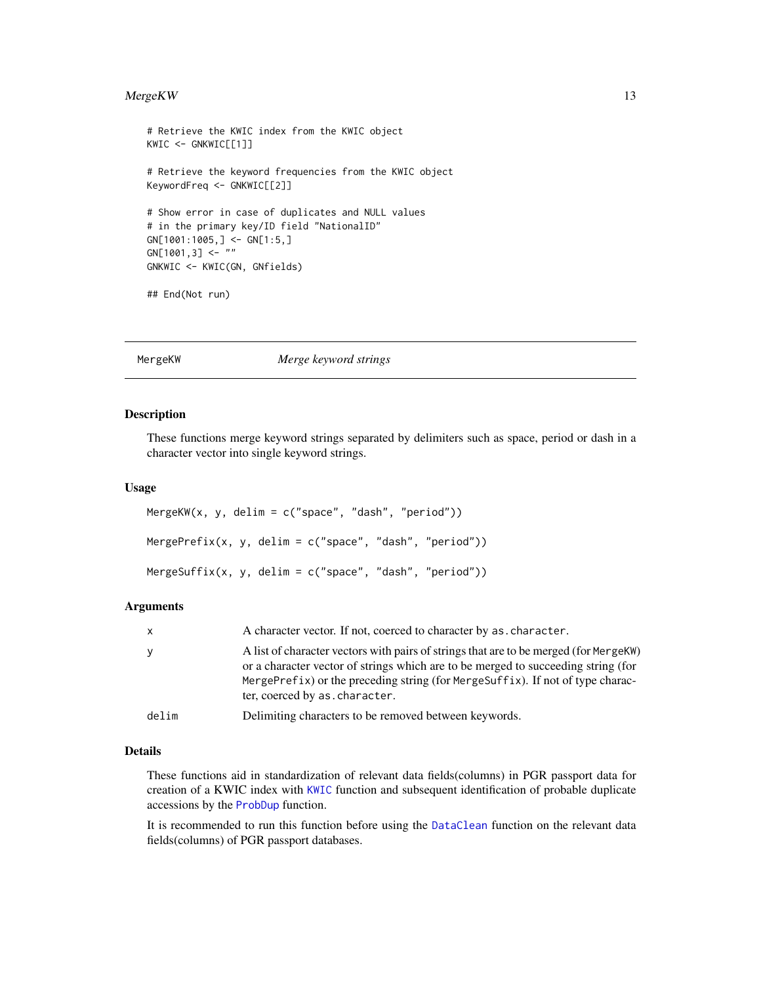#### <span id="page-12-0"></span> $MergeKW$  13

```
# Retrieve the KWIC index from the KWIC object
KWIC <- GNKWIC[[1]]
# Retrieve the keyword frequencies from the KWIC object
KeywordFreq <- GNKWIC[[2]]
# Show error in case of duplicates and NULL values
# in the primary key/ID field "NationalID"
GN[1001:1005,] <- GN[1:5,]
GN[1001,3] <- ""
GNKWIC <- KWIC(GN, GNfields)
## End(Not run)
```
<span id="page-12-1"></span>MergeKW *Merge keyword strings*

#### Description

These functions merge keyword strings separated by delimiters such as space, period or dash in a character vector into single keyword strings.

#### Usage

```
MergeKW(x, y, delim = c("space", "dash", "period"))
MergePrefix(x, y, delim = c("space", "dash", "period"))
MergeSuffix(x, y, delim = c("space", "dash", "period"))
```
# Arguments

| <b>X</b> | A character vector. If not, coerced to character by as, character.                                                                                                                                                                                                                            |  |
|----------|-----------------------------------------------------------------------------------------------------------------------------------------------------------------------------------------------------------------------------------------------------------------------------------------------|--|
| У        | A list of character vectors with pairs of strings that are to be merged (for MergeKW)<br>or a character vector of strings which are to be merged to succeeding string (for<br>MergePrefix) or the preceding string (for MergeSuffix). If not of type charac-<br>ter, coerced by as character. |  |
| delim    | Delimiting characters to be removed between keywords.                                                                                                                                                                                                                                         |  |

#### Details

These functions aid in standardization of relevant data fields(columns) in PGR passport data for creation of a KWIC index with [KWIC](#page-10-1) function and subsequent identification of probable duplicate accessions by the [ProbDup](#page-18-1) function.

It is recommended to run this function before using the [DataClean](#page-4-1) function on the relevant data fields(columns) of PGR passport databases.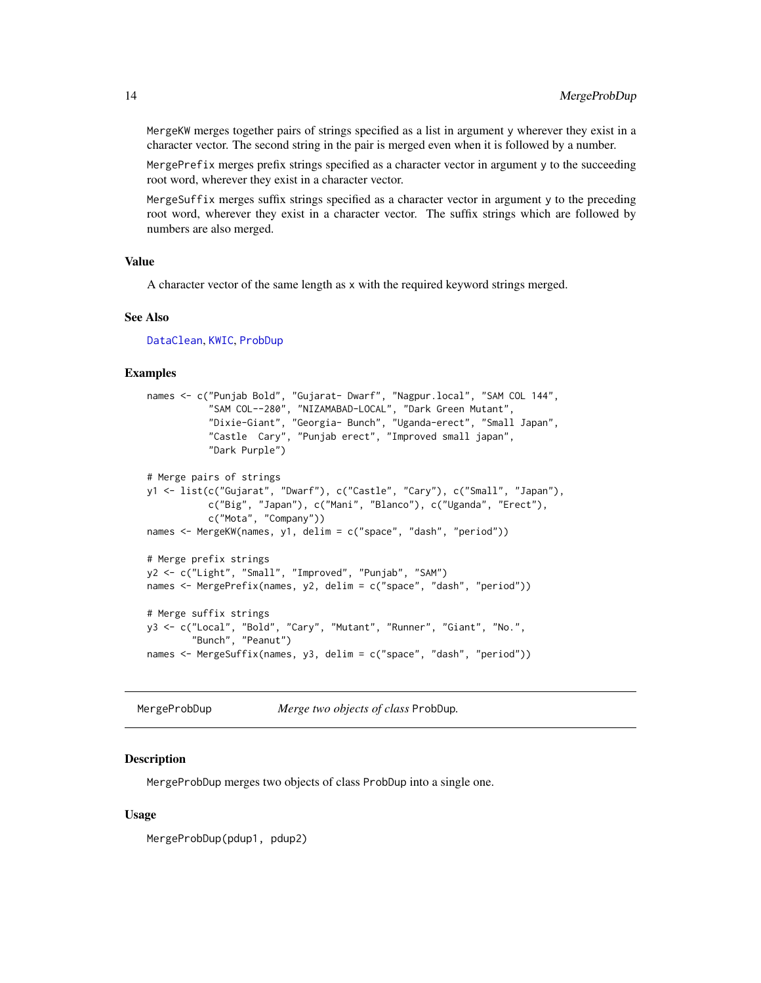MergeKW merges together pairs of strings specified as a list in argument y wherever they exist in a character vector. The second string in the pair is merged even when it is followed by a number.

MergePrefix merges prefix strings specified as a character vector in argument y to the succeeding root word, wherever they exist in a character vector.

MergeSuffix merges suffix strings specified as a character vector in argument y to the preceding root word, wherever they exist in a character vector. The suffix strings which are followed by numbers are also merged.

#### Value

A character vector of the same length as x with the required keyword strings merged.

#### See Also

[DataClean](#page-4-1), [KWIC](#page-10-1), [ProbDup](#page-18-1)

#### Examples

```
names <- c("Punjab Bold", "Gujarat- Dwarf", "Nagpur.local", "SAM COL 144",
           "SAM COL--280", "NIZAMABAD-LOCAL", "Dark Green Mutant",
           "Dixie-Giant", "Georgia- Bunch", "Uganda-erect", "Small Japan",
           "Castle Cary", "Punjab erect", "Improved small japan",
           "Dark Purple")
# Merge pairs of strings
y1 <- list(c("Gujarat", "Dwarf"), c("Castle", "Cary"), c("Small", "Japan"),
           c("Big", "Japan"), c("Mani", "Blanco"), c("Uganda", "Erect"),
           c("Mota", "Company"))
names <- MergeKW(names, y1, delim = c("space", "dash", "period"))
# Merge prefix strings
y2 <- c("Light", "Small", "Improved", "Punjab", "SAM")
names <- MergePrefix(names, y2, delim = c("space", "dash", "period"))
# Merge suffix strings
y3 <- c("Local", "Bold", "Cary", "Mutant", "Runner", "Giant", "No.",
        "Bunch", "Peanut")
names <- MergeSuffix(names, y3, delim = c("space", "dash", "period"))
```
<span id="page-13-1"></span>MergeProbDup *Merge two objects of class* ProbDup*.*

#### **Description**

MergeProbDup merges two objects of class ProbDup into a single one.

#### Usage

MergeProbDup(pdup1, pdup2)

<span id="page-13-0"></span>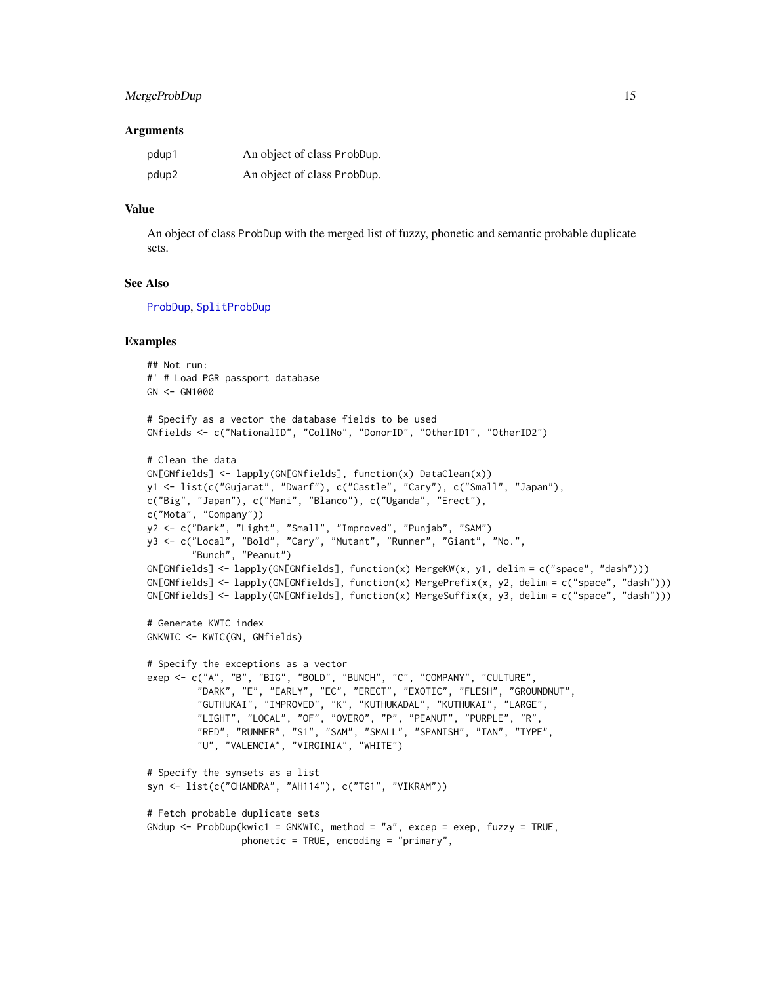# <span id="page-14-0"></span>MergeProbDup 15

#### **Arguments**

| pdup1 | An object of class ProbDup. |
|-------|-----------------------------|
| pdup2 | An object of class ProbDup. |

#### Value

An object of class ProbDup with the merged list of fuzzy, phonetic and semantic probable duplicate sets.

#### See Also

[ProbDup](#page-18-1), [SplitProbDup](#page-28-1)

```
## Not run:
#' # Load PGR passport database
GN < - GN1000# Specify as a vector the database fields to be used
GNfields <- c("NationalID", "CollNo", "DonorID", "OtherID1", "OtherID2")
# Clean the data
GN[GNfields] <- lapply(GN[GNfields], function(x) DataClean(x))
y1 <- list(c("Gujarat", "Dwarf"), c("Castle", "Cary"), c("Small", "Japan"),
c("Big", "Japan"), c("Mani", "Blanco"), c("Uganda", "Erect"),
c("Mota", "Company"))
y2 <- c("Dark", "Light", "Small", "Improved", "Punjab", "SAM")
y3 <- c("Local", "Bold", "Cary", "Mutant", "Runner", "Giant", "No.",
        "Bunch", "Peanut")
GN[GNfields] <- lapply(GN[GNfields], function(x) MergeKW(x, y1, delim = c("space", "dash")))
GN[GNfields] <- lapply(GN[GNfields], function(x) MergePrefix(x, y2, delim = c("space", "dash")))
GN[GNfields] <- lapply(GN[GNfields], function(x) MergeSuffix(x, y3, delim = c("space", "dash")))
# Generate KWIC index
GNKWIC <- KWIC(GN, GNfields)
# Specify the exceptions as a vector
exep <- c("A", "B", "BIG", "BOLD", "BUNCH", "C", "COMPANY", "CULTURE",
         "DARK", "E", "EARLY", "EC", "ERECT", "EXOTIC", "FLESH", "GROUNDNUT",
         "GUTHUKAI", "IMPROVED", "K", "KUTHUKADAL", "KUTHUKAI", "LARGE",
         "LIGHT", "LOCAL", "OF", "OVERO", "P", "PEANUT", "PURPLE", "R",
         "RED", "RUNNER", "S1", "SAM", "SMALL", "SPANISH", "TAN", "TYPE",
         "U", "VALENCIA", "VIRGINIA", "WHITE")
# Specify the synsets as a list
syn <- list(c("CHANDRA", "AH114"), c("TG1", "VIKRAM"))
# Fetch probable duplicate sets
GNdup <- ProbDup(kwic1 = GNKWIC, method = "a", excep = exep, fuzzy = TRUE,
                 phonetic = TRUE, encoding = "primary",
```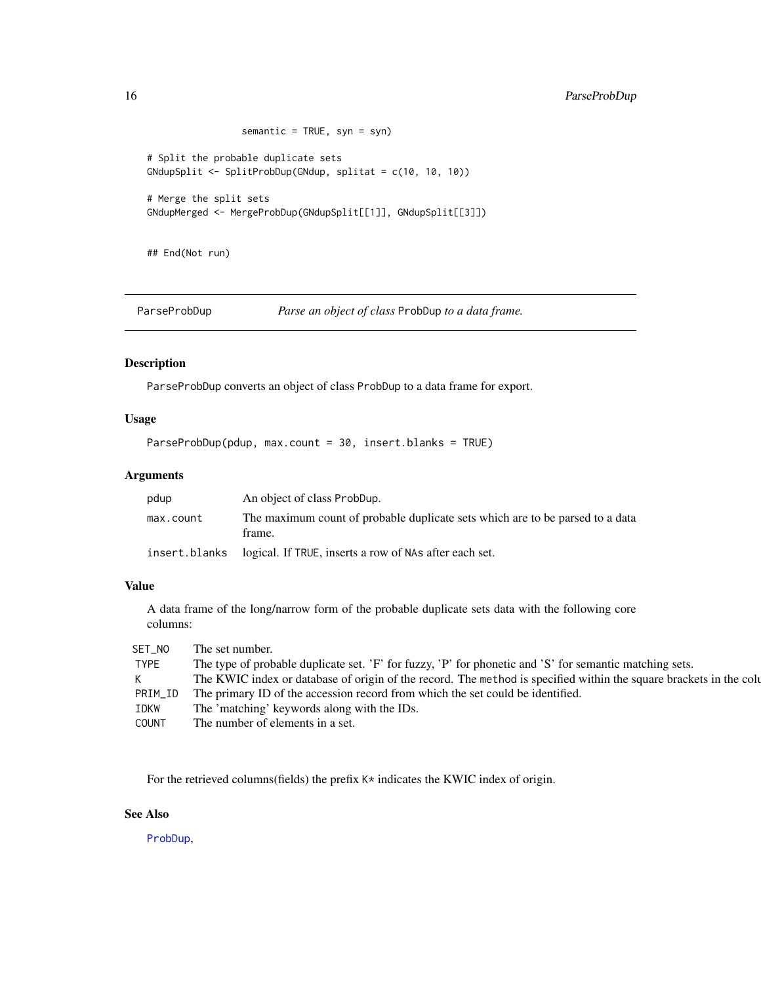```
semantic = TRUE, syn = syn)
# Split the probable duplicate sets
GNdupSplit <- SplitProbDup(GNdup, splitat = c(10, 10, 10))
# Merge the split sets
GNdupMerged <- MergeProbDup(GNdupSplit[[1]], GNdupSplit[[3]])
```
## End(Not run)

ParseProbDup *Parse an object of class* ProbDup *to a data frame.*

# Description

ParseProbDup converts an object of class ProbDup to a data frame for export.

#### Usage

ParseProbDup(pdup, max.count = 30, insert.blanks = TRUE)

#### Arguments

| pdup          | An object of class ProbDup.                                                             |
|---------------|-----------------------------------------------------------------------------------------|
| max.count     | The maximum count of probable duplicate sets which are to be parsed to a data<br>frame. |
| insert.blanks | logical. If TRUE, inserts a row of NAs after each set.                                  |

#### Value

A data frame of the long/narrow form of the probable duplicate sets data with the following core columns:

| SET NO       | The set number.                                                                                                    |
|--------------|--------------------------------------------------------------------------------------------------------------------|
| TYPE         | The type of probable duplicate set. 'F' for fuzzy, 'P' for phonetic and 'S' for semantic matching sets.            |
| K            | The KWIC index or database of origin of the record. The method is specified within the square brackets in the colu |
| PRIM_ID      | The primary ID of the accession record from which the set could be identified.                                     |
| IDKW         | The 'matching' keywords along with the IDs.                                                                        |
| <b>COUNT</b> | The number of elements in a set.                                                                                   |

For the retrieved columns(fields) the prefix K\* indicates the KWIC index of origin.

# See Also

[ProbDup](#page-18-1),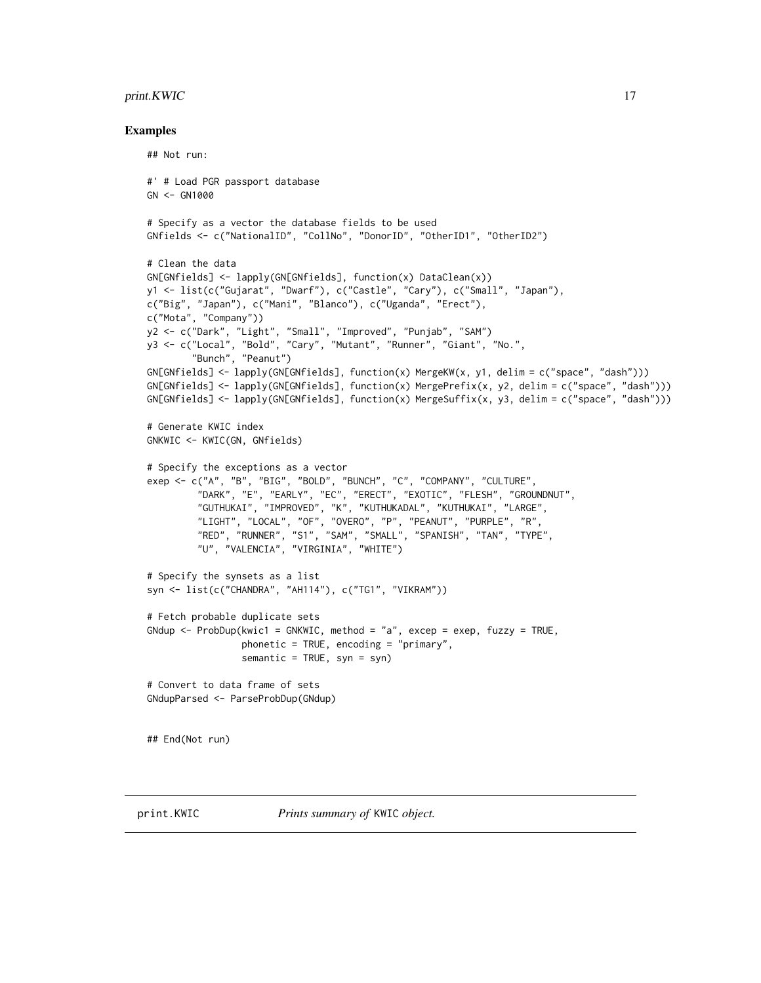#### <span id="page-16-0"></span> $print.KWIC$  17

```
## Not run:
#' # Load PGR passport database
GN <- GN1000
# Specify as a vector the database fields to be used
GNfields <- c("NationalID", "CollNo", "DonorID", "OtherID1", "OtherID2")
# Clean the data
GN[GNfields] <- lapply(GN[GNfields], function(x) DataClean(x))
y1 <- list(c("Gujarat", "Dwarf"), c("Castle", "Cary"), c("Small", "Japan"),
c("Big", "Japan"), c("Mani", "Blanco"), c("Uganda", "Erect"),
c("Mota", "Company"))
y2 <- c("Dark", "Light", "Small", "Improved", "Punjab", "SAM")
y3 <- c("Local", "Bold", "Cary", "Mutant", "Runner", "Giant", "No.",
        "Bunch", "Peanut")
GN[GNfields] <- lapply(GN[GNfields], function(x) MergeKW(x, y1, delim = c("space", "dash")))
GN[GNfields] <- lapply(GN[GNfields], function(x) MergePrefix(x, y2, delim = c("space", "dash")))
GN[GNfields] <- lapply(GN[GNfields], function(x) MergeSuffix(x, y3, delim = c("space", "dash")))
# Generate KWIC index
GNKWIC <- KWIC(GN, GNfields)
# Specify the exceptions as a vector
exep <- c("A", "B", "BIG", "BOLD", "BUNCH", "C", "COMPANY", "CULTURE",
         "DARK", "E", "EARLY", "EC", "ERECT", "EXOTIC", "FLESH", "GROUNDNUT",
         "GUTHUKAI", "IMPROVED", "K", "KUTHUKADAL", "KUTHUKAI", "LARGE",
         "LIGHT", "LOCAL", "OF", "OVERO", "P", "PEANUT", "PURPLE", "R",
         "RED", "RUNNER", "S1", "SAM", "SMALL", "SPANISH", "TAN", "TYPE",
         "U", "VALENCIA", "VIRGINIA", "WHITE")
# Specify the synsets as a list
syn <- list(c("CHANDRA", "AH114"), c("TG1", "VIKRAM"))
# Fetch probable duplicate sets
GNdup \leq ProbDup(kwic1 = GNKWIC, method = "a", excep = exep, fuzzy = TRUE,
                 phonetic = TRUE, encoding = "primary",
                 semantic = TRUE, syn = syn)# Convert to data frame of sets
GNdupParsed <- ParseProbDup(GNdup)
## End(Not run)
```
<span id="page-16-1"></span>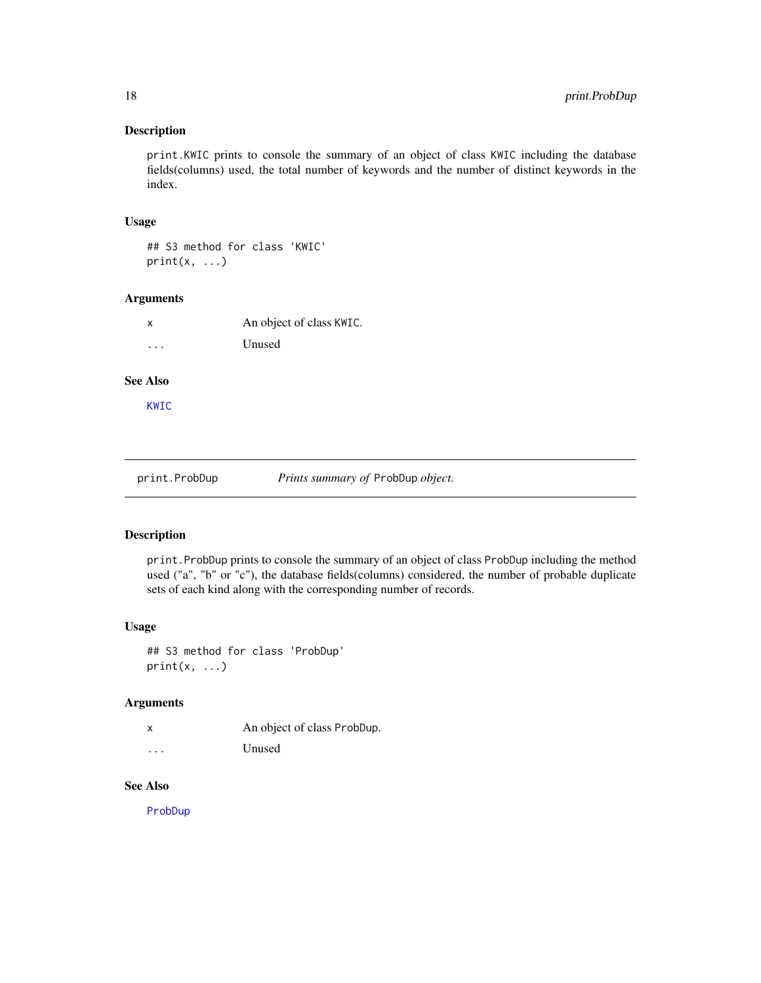# <span id="page-17-0"></span>Description

print.KWIC prints to console the summary of an object of class KWIC including the database fields(columns) used, the total number of keywords and the number of distinct keywords in the index.

#### Usage

## S3 method for class 'KWIC'  $print(x, \ldots)$ 

#### Arguments

| x                       | An object of class KWIC. |
|-------------------------|--------------------------|
| $\cdot$ $\cdot$ $\cdot$ | Unused                   |

# See Also

[KWIC](#page-10-1)

<span id="page-17-1"></span>print.ProbDup *Prints summary of* ProbDup *object.*

#### Description

print.ProbDup prints to console the summary of an object of class ProbDup including the method used ("a", "b" or "c"), the database fields(columns) considered, the number of probable duplicate sets of each kind along with the corresponding number of records.

#### Usage

## S3 method for class 'ProbDup'  $print(x, \ldots)$ 

# Arguments

| x        | An object of class ProbDup. |
|----------|-----------------------------|
| $\cdots$ | Unused                      |

#### See Also

[ProbDup](#page-18-1)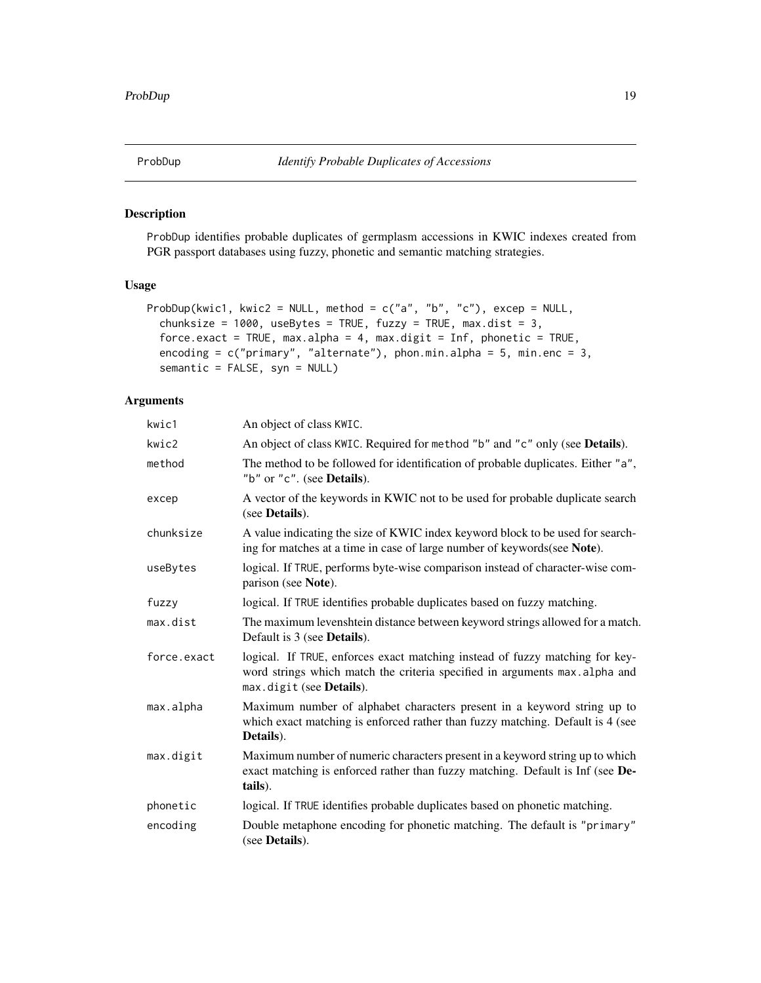<span id="page-18-1"></span><span id="page-18-0"></span>

# Description

ProbDup identifies probable duplicates of germplasm accessions in KWIC indexes created from PGR passport databases using fuzzy, phonetic and semantic matching strategies.

# Usage

```
ProbDup(kwic1, kwic2 = NULL, method = c("a", "b", "c"), excep = NULL,
  chunksize = 1000, useBytes = TRUE, fuzzy = TRUE, max.dist = 3,
  force.exact = TRUE, max.alpha = 4, max.digit = Inf, phonetic = TRUE,
  encoding = c("primary", "alternate"), phon.min.alpha = 5, min.enc = 3,semantic = FALSE, syn = NULL)
```
# Arguments

| kwic1       | An object of class KWIC.                                                                                                                                                               |
|-------------|----------------------------------------------------------------------------------------------------------------------------------------------------------------------------------------|
| kwic2       | An object of class KWIC. Required for method "b" and "c" only (see Details).                                                                                                           |
| method      | The method to be followed for identification of probable duplicates. Either "a",<br>"b" or "c". (see Details).                                                                         |
| excep       | A vector of the keywords in KWIC not to be used for probable duplicate search<br>(see <b>Details</b> ).                                                                                |
| chunksize   | A value indicating the size of KWIC index keyword block to be used for search-<br>ing for matches at a time in case of large number of keywords (see Note).                            |
| useBytes    | logical. If TRUE, performs byte-wise comparison instead of character-wise com-<br>parison (see Note).                                                                                  |
| fuzzy       | logical. If TRUE identifies probable duplicates based on fuzzy matching.                                                                                                               |
| max.dist    | The maximum levenshtein distance between keyword strings allowed for a match.<br>Default is 3 (see <b>Details</b> ).                                                                   |
| force.exact | logical. If TRUE, enforces exact matching instead of fuzzy matching for key-<br>word strings which match the criteria specified in arguments max.alpha and<br>max.digit (see Details). |
| max.alpha   | Maximum number of alphabet characters present in a keyword string up to<br>which exact matching is enforced rather than fuzzy matching. Default is 4 (see<br>Details).                 |
| max.digit   | Maximum number of numeric characters present in a keyword string up to which<br>exact matching is enforced rather than fuzzy matching. Default is Inf (see De-<br>tails).              |
| phonetic    | logical. If TRUE identifies probable duplicates based on phonetic matching.                                                                                                            |
| encoding    | Double metaphone encoding for phonetic matching. The default is "primary"<br>(see <b>Details</b> ).                                                                                    |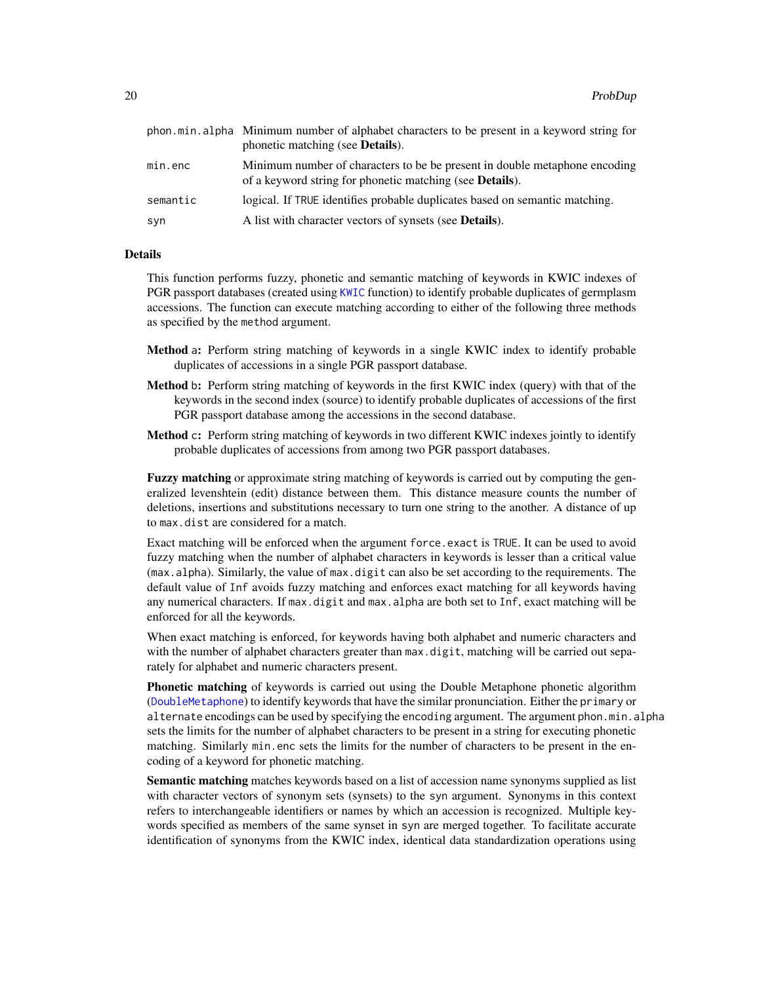<span id="page-19-0"></span>

|          | phon min alpha Minimum number of alphabet characters to be present in a keyword string for                                                     |
|----------|------------------------------------------------------------------------------------------------------------------------------------------------|
|          | phonetic matching (see <b>Details</b> ).                                                                                                       |
| min.enc  | Minimum number of characters to be be present in double metaphone encoding<br>of a keyword string for phonetic matching (see <b>Details</b> ). |
| semantic | logical. If TRUE identifies probable duplicates based on semantic matching.                                                                    |
| syn      | A list with character vectors of synsets (see <b>Details</b> ).                                                                                |

# Details

This function performs fuzzy, phonetic and semantic matching of keywords in KWIC indexes of PGR passport databases (created using [KWIC](#page-10-1) function) to identify probable duplicates of germplasm accessions. The function can execute matching according to either of the following three methods as specified by the method argument.

- Method a: Perform string matching of keywords in a single KWIC index to identify probable duplicates of accessions in a single PGR passport database.
- Method b: Perform string matching of keywords in the first KWIC index (query) with that of the keywords in the second index (source) to identify probable duplicates of accessions of the first PGR passport database among the accessions in the second database.
- **Method c:** Perform string matching of keywords in two different KWIC indexes jointly to identify probable duplicates of accessions from among two PGR passport databases.

**Fuzzy matching** or approximate string matching of keywords is carried out by computing the generalized levenshtein (edit) distance between them. This distance measure counts the number of deletions, insertions and substitutions necessary to turn one string to the another. A distance of up to max.dist are considered for a match.

Exact matching will be enforced when the argument force.exact is TRUE. It can be used to avoid fuzzy matching when the number of alphabet characters in keywords is lesser than a critical value (max.alpha). Similarly, the value of max.digit can also be set according to the requirements. The default value of Inf avoids fuzzy matching and enforces exact matching for all keywords having any numerical characters. If max.digit and max.alpha are both set to Inf, exact matching will be enforced for all the keywords.

When exact matching is enforced, for keywords having both alphabet and numeric characters and with the number of alphabet characters greater than  $max$ . digit, matching will be carried out separately for alphabet and numeric characters present.

**Phonetic matching** of keywords is carried out using the Double Metaphone phonetic algorithm ([DoubleMetaphone](#page-7-1)) to identify keywords that have the similar pronunciation. Either the primary or alternate encodings can be used by specifying the encoding argument. The argument phon.min.alpha sets the limits for the number of alphabet characters to be present in a string for executing phonetic matching. Similarly min.enc sets the limits for the number of characters to be present in the encoding of a keyword for phonetic matching.

Semantic matching matches keywords based on a list of accession name synonyms supplied as list with character vectors of synonym sets (synsets) to the syn argument. Synonyms in this context refers to interchangeable identifiers or names by which an accession is recognized. Multiple keywords specified as members of the same synset in syn are merged together. To facilitate accurate identification of synonyms from the KWIC index, identical data standardization operations using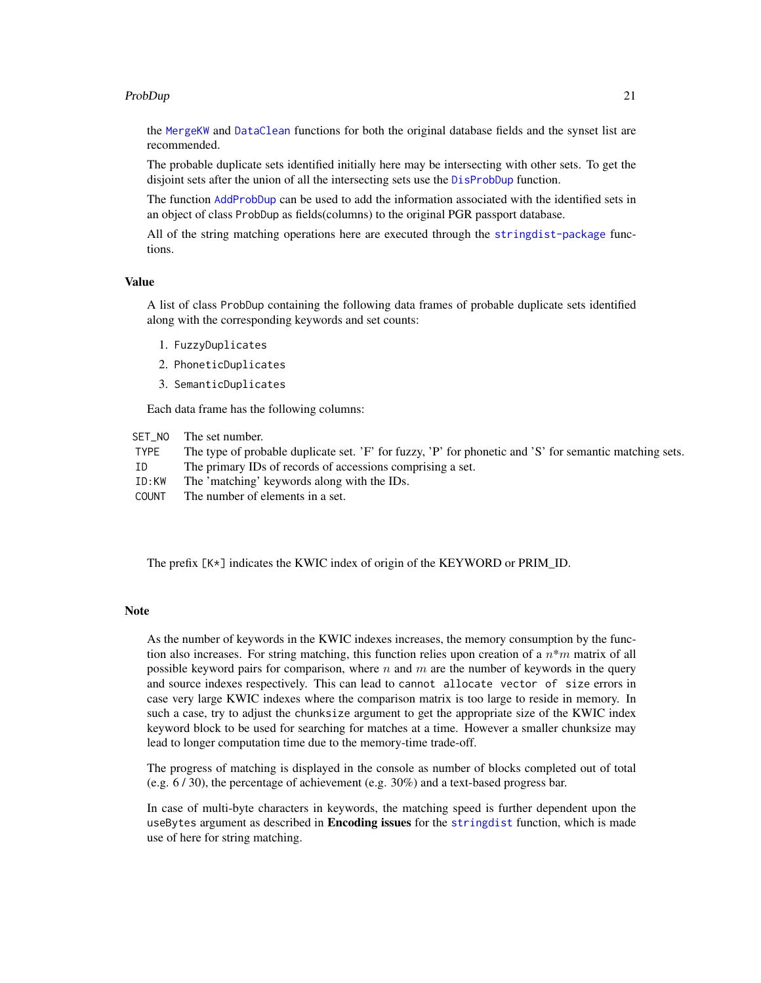#### <span id="page-20-0"></span>ProbDup 21

the [MergeKW](#page-12-1) and [DataClean](#page-4-1) functions for both the original database fields and the synset list are recommended.

The probable duplicate sets identified initially here may be intersecting with other sets. To get the disjoint sets after the union of all the intersecting sets use the [DisProbDup](#page-5-1) function.

The function [AddProbDup](#page-2-1) can be used to add the information associated with the identified sets in an object of class ProbDup as fields(columns) to the original PGR passport database.

All of the string matching operations here are executed through the [stringdist-package](#page-0-0) functions.

#### Value

A list of class ProbDup containing the following data frames of probable duplicate sets identified along with the corresponding keywords and set counts:

- 1. FuzzyDuplicates
- 2. PhoneticDuplicates
- 3. SemanticDuplicates

Each data frame has the following columns:

- SET\_NO The set number.
- TYPE The type of probable duplicate set. 'F' for fuzzy, 'P' for phonetic and 'S' for semantic matching sets.
- ID The primary IDs of records of accessions comprising a set.
- ID:KW The 'matching' keywords along with the IDs.
- COUNT The number of elements in a set.

The prefix [K\*] indicates the KWIC index of origin of the KEYWORD or PRIM\_ID.

#### Note

As the number of keywords in the KWIC indexes increases, the memory consumption by the function also increases. For string matching, this function relies upon creation of a  $n*m$  matrix of all possible keyword pairs for comparison, where  $n$  and  $m$  are the number of keywords in the query and source indexes respectively. This can lead to cannot allocate vector of size errors in case very large KWIC indexes where the comparison matrix is too large to reside in memory. In such a case, try to adjust the chunksize argument to get the appropriate size of the KWIC index keyword block to be used for searching for matches at a time. However a smaller chunksize may lead to longer computation time due to the memory-time trade-off.

The progress of matching is displayed in the console as number of blocks completed out of total (e.g.  $6/30$ ), the percentage of achievement (e.g.  $30\%$ ) and a text-based progress bar.

In case of multi-byte characters in keywords, the matching speed is further dependent upon the useBytes argument as described in **Encoding issues** for the [stringdist](#page-0-0) function, which is made use of here for string matching.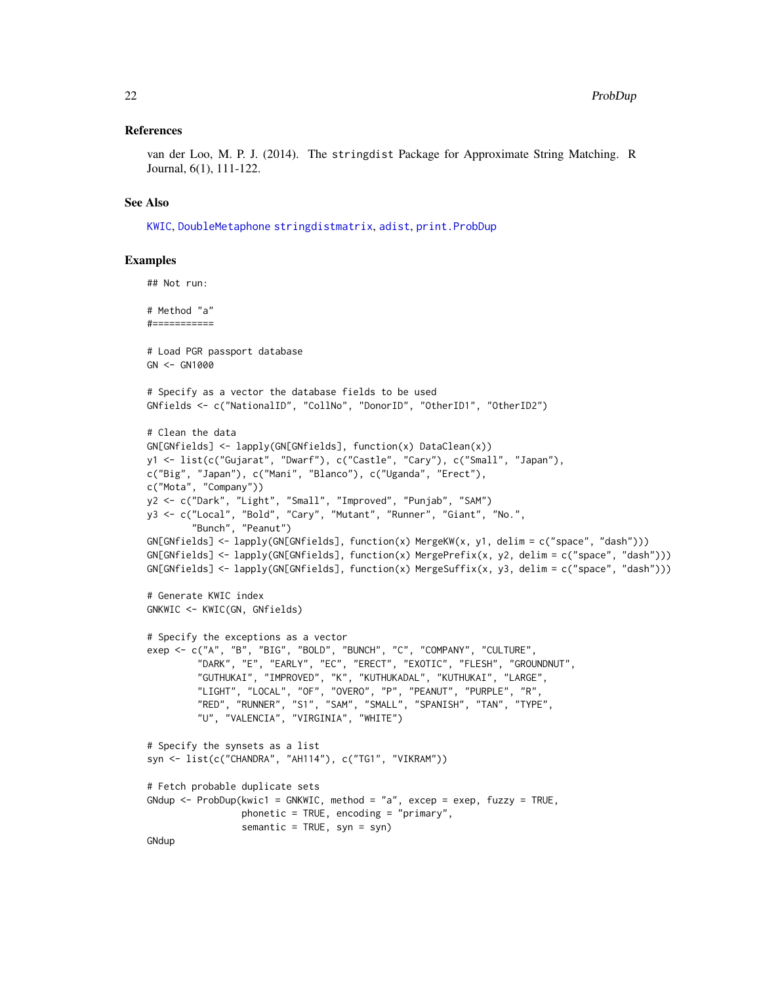#### <span id="page-21-0"></span>References

van der Loo, M. P. J. (2014). The stringdist Package for Approximate String Matching. R Journal, 6(1), 111-122.

#### See Also

[KWIC](#page-10-1), [DoubleMetaphone](#page-7-1) [stringdistmatrix](#page-0-0), [adist](#page-0-0), [print.ProbDup](#page-17-1)

```
## Not run:
# Method "a"
#===========
# Load PGR passport database
GN <- GN1000
# Specify as a vector the database fields to be used
GNfields <- c("NationalID", "CollNo", "DonorID", "OtherID1", "OtherID2")
# Clean the data
GN[GNfields] <- lapply(GN[GNfields], function(x) DataClean(x))
y1 <- list(c("Gujarat", "Dwarf"), c("Castle", "Cary"), c("Small", "Japan"),
c("Big", "Japan"), c("Mani", "Blanco"), c("Uganda", "Erect"),
c("Mota", "Company"))
y2 <- c("Dark", "Light", "Small", "Improved", "Punjab", "SAM")
y3 <- c("Local", "Bold", "Cary", "Mutant", "Runner", "Giant", "No.",
        "Bunch", "Peanut")
GN[GNfields] <- lapply(GN[GNfields], function(x) MergeKW(x, y1, delim = c("space", "dash")))
GN[GNfields] <- lapply(GN[GNfields], function(x) MergePrefix(x, y2, delim = c("space", "dash")))
GN[GNfields] <- lapply(GN[GNfields], function(x) MergeSuffix(x, y3, delim = c("space", "dash")))
# Generate KWIC index
GNKWIC <- KWIC(GN, GNfields)
# Specify the exceptions as a vector
exep <- c("A", "B", "BIG", "BOLD", "BUNCH", "C", "COMPANY", "CULTURE",
         "DARK", "E", "EARLY", "EC", "ERECT", "EXOTIC", "FLESH", "GROUNDNUT",
         "GUTHUKAI", "IMPROVED", "K", "KUTHUKADAL", "KUTHUKAI", "LARGE",
         "LIGHT", "LOCAL", "OF", "OVERO", "P", "PEANUT", "PURPLE", "R",
         "RED", "RUNNER", "S1", "SAM", "SMALL", "SPANISH", "TAN", "TYPE",
         "U", "VALENCIA", "VIRGINIA", "WHITE")
# Specify the synsets as a list
syn <- list(c("CHANDRA", "AH114"), c("TG1", "VIKRAM"))
# Fetch probable duplicate sets
GNdup <- Probability(kwic1 = GNKWIC, method = "a", except = except, fuzzy = TRUE,phonetic = TRUE, encoding = "primary",
                 semantic = TRUE, syn = syn)
GNdup
```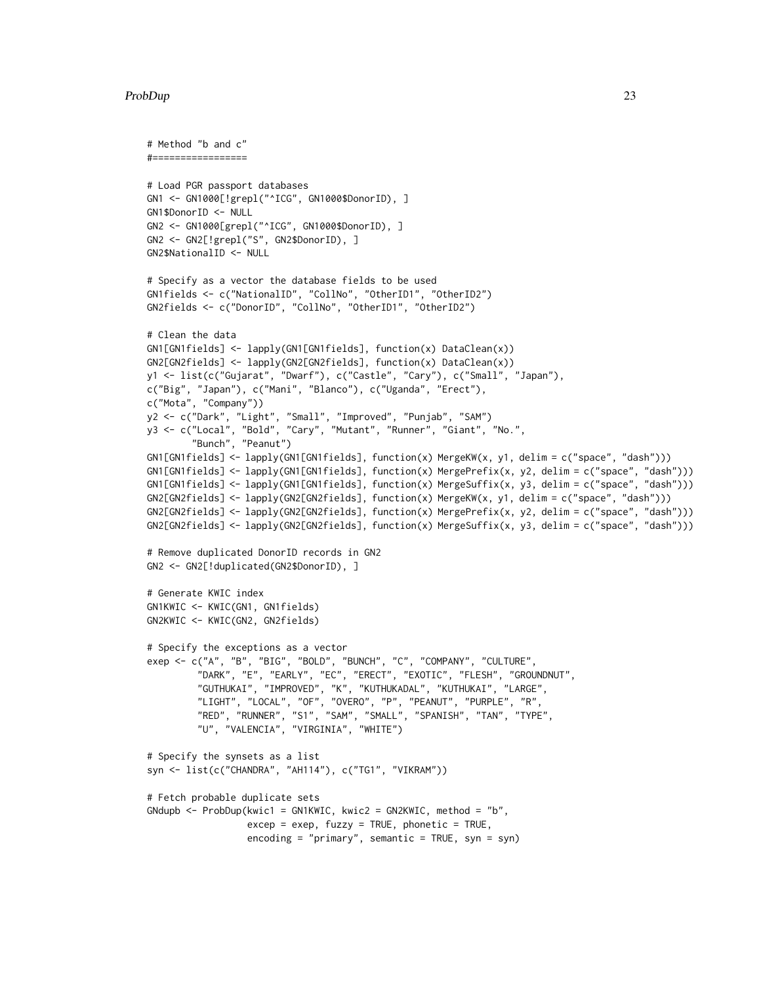#### ProbDup 23

```
# Method "b and c"
#=================
# Load PGR passport databases
GN1 <- GN1000[!grepl("^ICG", GN1000$DonorID), ]
GN1$DonorID <- NULL
GN2 <- GN1000[grepl("^ICG", GN1000$DonorID), ]
GN2 <- GN2[!grepl("S", GN2$DonorID), ]
GN2$NationalID <- NULL
# Specify as a vector the database fields to be used
GN1fields <- c("NationalID", "CollNo", "OtherID1", "OtherID2")
GN2fields <- c("DonorID", "CollNo", "OtherID1", "OtherID2")
# Clean the data
GN1[GN1fields] <- lapply(GN1[GN1fields], function(x) DataClean(x))
GN2[GN2fields] <- lapply(GN2[GN2fields], function(x) DataClean(x))
y1 <- list(c("Gujarat", "Dwarf"), c("Castle", "Cary"), c("Small", "Japan"),
c("Big", "Japan"), c("Mani", "Blanco"), c("Uganda", "Erect"),
c("Mota", "Company"))
y2 <- c("Dark", "Light", "Small", "Improved", "Punjab", "SAM")
y3 <- c("Local", "Bold", "Cary", "Mutant", "Runner", "Giant", "No.",
        "Bunch", "Peanut")
GN1[GN1fields] <- lapply(GN1[GN1fields], function(x) MergeKW(x, y1, delim = c("space", "dash")))
GN1[GN1fields] <- lapply(GN1[GN1fields], function(x) MergePrefix(x, y2, delim = c("space", "dash")))
GN1[GN1fields] <- lapply(GN1[GN1fields], function(x) MergeSuffix(x, y3, delim = c("space", "dash")))
GN2[GN2fields] <- lapply(GN2[GN2fields], function(x) MergeKW(x, y1, delim = c("space", "dash")))
GN2[GN2fields] <- lapply(GN2[GN2fields], function(x) MergePrefix(x, y2, delim = c("space", "dash")))
GN2[GN2fields] <- lapply(GN2[GN2fields], function(x) MergeSuffix(x, y3, delim = c("space", "dash")))
# Remove duplicated DonorID records in GN2
GN2 <- GN2[!duplicated(GN2$DonorID), ]
# Generate KWIC index
GN1KWIC <- KWIC(GN1, GN1fields)
GN2KWIC <- KWIC(GN2, GN2fields)
# Specify the exceptions as a vector
exep <- c("A", "B", "BIG", "BOLD", "BUNCH", "C", "COMPANY", "CULTURE",
         "DARK", "E", "EARLY", "EC", "ERECT", "EXOTIC", "FLESH", "GROUNDNUT",
         "GUTHUKAI", "IMPROVED", "K", "KUTHUKADAL", "KUTHUKAI", "LARGE",
         "LIGHT", "LOCAL", "OF", "OVERO", "P", "PEANUT", "PURPLE", "R",
         "RED", "RUNNER", "S1", "SAM", "SMALL", "SPANISH", "TAN", "TYPE",
         "U", "VALENCIA", "VIRGINIA", "WHITE")
# Specify the synsets as a list
syn <- list(c("CHANDRA", "AH114"), c("TG1", "VIKRAM"))
# Fetch probable duplicate sets
GNdupb \leq- ProbDup(kwic1 = GN1KWIC, kwic2 = GN2KWIC, method = "b",
                  excep = exep, fuzzy = TRUE, phonetic = TRUE,encoding = "primary", semantic = TRUE, syn = syn)
```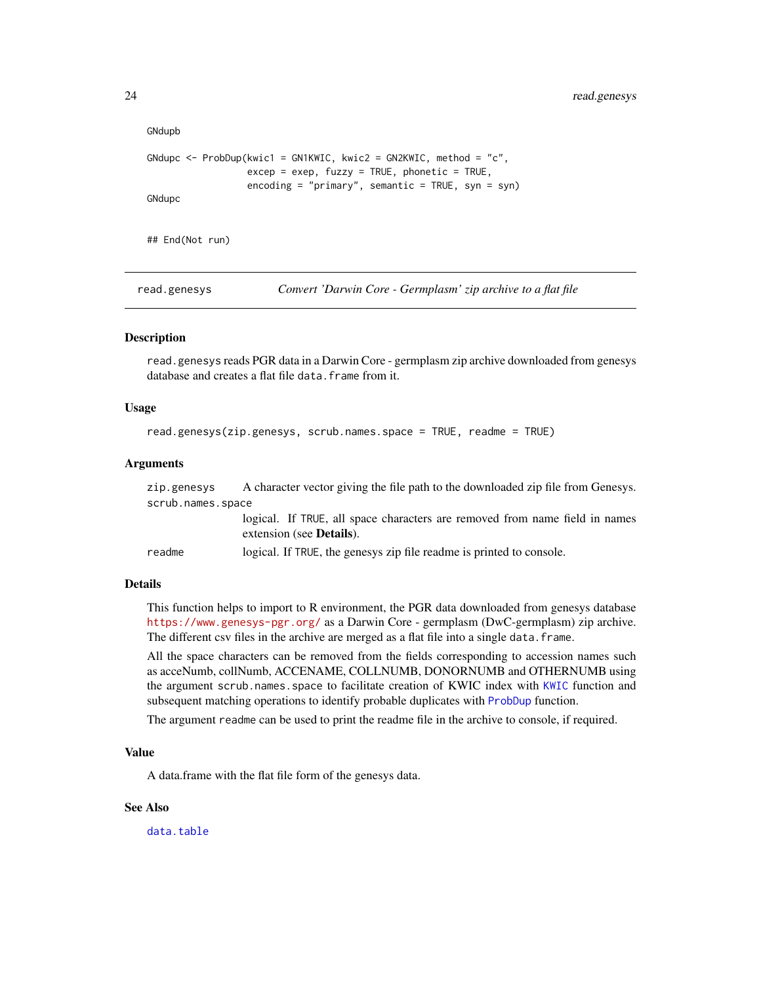```
GNdupb
GNdupc \leq- ProbDup(kwic1 = GN1KWIC, kwic2 = GN2KWIC, method = "c",
                  excep = exep, fuzzy = TRUE, phonetic = TRUE,encoding = "primary", semantic = TRUE, syn = syn)
GNdupc
## End(Not run)
```
read.genesys *Convert 'Darwin Core - Germplasm' zip archive to a flat file*

#### **Description**

read.genesys reads PGR data in a Darwin Core - germplasm zip archive downloaded from genesys database and creates a flat file data. frame from it.

#### Usage

```
read.genesys(zip.genesys, scrub.names.space = TRUE, readme = TRUE)
```
#### **Arguments**

zip.genesys A character vector giving the file path to the downloaded zip file from Genesys. scrub.names.space

logical. If TRUE, all space characters are removed from name field in names extension (see Details).

readme logical. If TRUE, the genesys zip file readme is printed to console.

#### Details

This function helps to import to R environment, the PGR data downloaded from genesys database <https://www.genesys-pgr.org/> as a Darwin Core - germplasm (DwC-germplasm) zip archive. The different csv files in the archive are merged as a flat file into a single data. frame.

All the space characters can be removed from the fields corresponding to accession names such as acceNumb, collNumb, ACCENAME, COLLNUMB, DONORNUMB and OTHERNUMB using the argument scrub.names.space to facilitate creation of KWIC index with [KWIC](#page-10-1) function and subsequent matching operations to identify probable duplicates with [ProbDup](#page-18-1) function.

The argument readme can be used to print the readme file in the archive to console, if required.

#### Value

A data.frame with the flat file form of the genesys data.

#### See Also

[data.table](#page-0-0)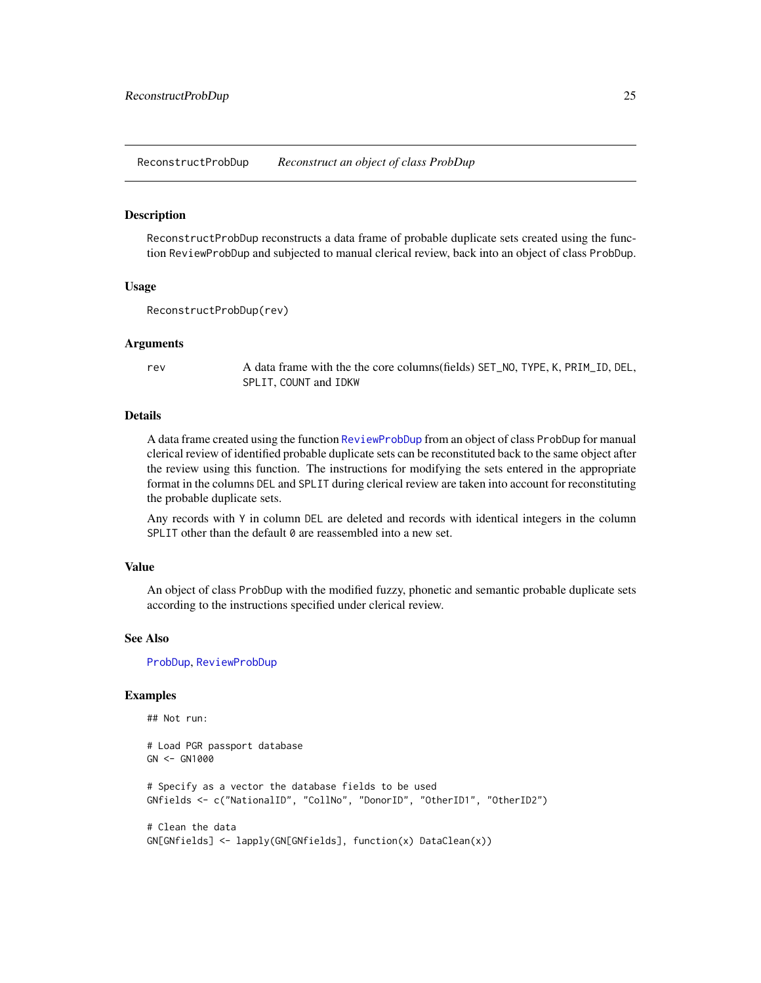<span id="page-24-0"></span>ReconstructProbDup *Reconstruct an object of class ProbDup*

#### Description

ReconstructProbDup reconstructs a data frame of probable duplicate sets created using the function ReviewProbDup and subjected to manual clerical review, back into an object of class ProbDup.

#### Usage

```
ReconstructProbDup(rev)
```
#### Arguments

rev A data frame with the the core columns(fields) SET\_NO, TYPE, K, PRIM\_ID, DEL, SPLIT, COUNT and IDKW

#### Details

A data frame created using the function [ReviewProbDup](#page-26-1) from an object of class ProbDup for manual clerical review of identified probable duplicate sets can be reconstituted back to the same object after the review using this function. The instructions for modifying the sets entered in the appropriate format in the columns DEL and SPLIT during clerical review are taken into account for reconstituting the probable duplicate sets.

Any records with Y in column DEL are deleted and records with identical integers in the column SPLIT other than the default 0 are reassembled into a new set.

#### Value

An object of class ProbDup with the modified fuzzy, phonetic and semantic probable duplicate sets according to the instructions specified under clerical review.

#### See Also

[ProbDup](#page-18-1), [ReviewProbDup](#page-26-1)

```
## Not run:
# Load PGR passport database
GN <- GN1000
# Specify as a vector the database fields to be used
GNfields <- c("NationalID", "CollNo", "DonorID", "OtherID1", "OtherID2")
# Clean the data
GN[GNfields] <- lapply(GN[GNfields], function(x) DataClean(x))
```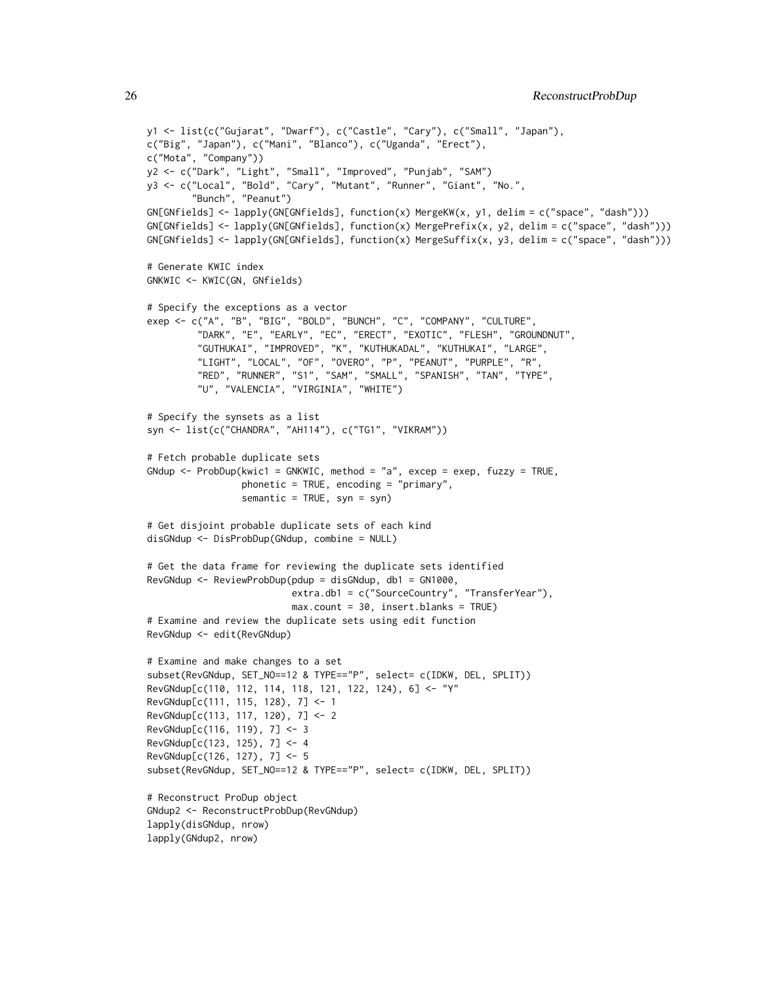```
y1 <- list(c("Gujarat", "Dwarf"), c("Castle", "Cary"), c("Small", "Japan"),
c("Big", "Japan"), c("Mani", "Blanco"), c("Uganda", "Erect"),
c("Mota", "Company"))
y2 <- c("Dark", "Light", "Small", "Improved", "Punjab", "SAM")
y3 <- c("Local", "Bold", "Cary", "Mutant", "Runner", "Giant", "No.",
        "Bunch", "Peanut")
GN[GNfields] <- lapply(GN[GNfields], function(x) MergeKW(x, y1, delim = c("space", "dash")))
GN[GNfields] <- lapply(GN[GNfields], function(x) MergePrefix(x, y2, delim = c("space", "dash")))
GN[GNfields] <- lapply(GN[GNfields], function(x) MergeSuffix(x, y3, delim = c("space", "dash")))
# Generate KWIC index
GNKWIC <- KWIC(GN, GNfields)
# Specify the exceptions as a vector
exep <- c("A", "B", "BIG", "BOLD", "BUNCH", "C", "COMPANY", "CULTURE",
         "DARK", "E", "EARLY", "EC", "ERECT", "EXOTIC", "FLESH", "GROUNDNUT",
         "GUTHUKAI", "IMPROVED", "K", "KUTHUKADAL", "KUTHUKAI", "LARGE",
         "LIGHT", "LOCAL", "OF", "OVERO", "P", "PEANUT", "PURPLE", "R",
         "RED", "RUNNER", "S1", "SAM", "SMALL", "SPANISH", "TAN", "TYPE",
         "U", "VALENCIA", "VIRGINIA", "WHITE")
# Specify the synsets as a list
syn <- list(c("CHANDRA", "AH114"), c("TG1", "VIKRAM"))
# Fetch probable duplicate sets
GNdup <- ProbDup(kwic1 = GNKWIC, method = "a", excep = exep, fuzzy = TRUE,
                 phonetic = TRUE, encoding = "primary",
                 semantic = TRUE, syn = syn)
# Get disjoint probable duplicate sets of each kind
disGNdup <- DisProbDup(GNdup, combine = NULL)
# Get the data frame for reviewing the duplicate sets identified
RevGNdup <- ReviewProbDup(pdup = disGNdup, db1 = GN1000,
                          extra.db1 = c("SourceCountry", "TransferYear"),
                          max.count = 30, insert.blanks = TRUE)
# Examine and review the duplicate sets using edit function
RevGNdup <- edit(RevGNdup)
# Examine and make changes to a set
subset(RevGNdup, SET_NO==12 & TYPE=="P", select= c(IDKW, DEL, SPLIT))
RevGNdup[c(110, 112, 114, 118, 121, 122, 124), 6] <- "Y"
RevGNdup[c(111, 115, 128), 7] <- 1
RevGNdup[c(113, 117, 120), 7] <- 2
RevGNdup[c(116, 119), 7] <- 3
RevGNdup[c(123, 125), 7] <- 4
RevGNdup[c(126, 127), 7] <- 5
subset(RevGNdup, SET_NO==12 & TYPE=="P", select= c(IDKW, DEL, SPLIT))
# Reconstruct ProDup object
GNdup2 <- ReconstructProbDup(RevGNdup)
lapply(disGNdup, nrow)
lapply(GNdup2, nrow)
```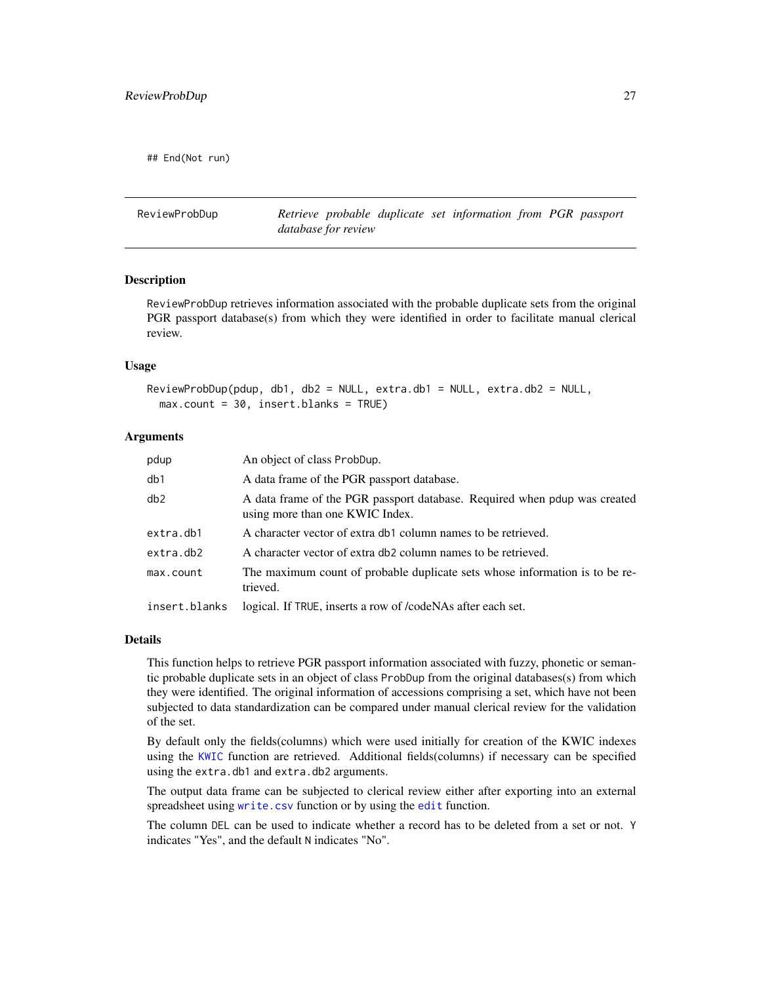<span id="page-26-0"></span>## End(Not run)

<span id="page-26-1"></span>ReviewProbDup *Retrieve probable duplicate set information from PGR passport database for review*

#### **Description**

ReviewProbDup retrieves information associated with the probable duplicate sets from the original PGR passport database(s) from which they were identified in order to facilitate manual clerical review.

#### Usage

```
ReviewProbDup(pdup, db1, db2 = NULL, extra.db1 = NULL, extra.db2 = NULL,
 max.count = 30, insert.blanks = TRUE)
```
# Arguments

| pdup          | An object of class ProbDup.                                                                                  |
|---------------|--------------------------------------------------------------------------------------------------------------|
| db1           | A data frame of the PGR passport database.                                                                   |
| db2           | A data frame of the PGR passport database. Required when pdup was created<br>using more than one KWIC Index. |
| extra.db1     | A character vector of extra db1 column names to be retrieved.                                                |
| extra.db2     | A character vector of extra db2 column names to be retrieved.                                                |
| max.count     | The maximum count of probable duplicate sets whose information is to be re-<br>trieved.                      |
| insert.blanks | logical. If TRUE, inserts a row of /codeNAs after each set.                                                  |

#### Details

This function helps to retrieve PGR passport information associated with fuzzy, phonetic or semantic probable duplicate sets in an object of class ProbDup from the original databases(s) from which they were identified. The original information of accessions comprising a set, which have not been subjected to data standardization can be compared under manual clerical review for the validation of the set.

By default only the fields(columns) which were used initially for creation of the KWIC indexes using the [KWIC](#page-10-1) function are retrieved. Additional fields(columns) if necessary can be specified using the extra.db1 and extra.db2 arguments.

The output data frame can be subjected to clerical review either after exporting into an external spreadsheet using [write.csv](#page-0-0) function or by using the [edit](#page-0-0) function.

The column DEL can be used to indicate whether a record has to be deleted from a set or not. Y indicates "Yes", and the default N indicates "No".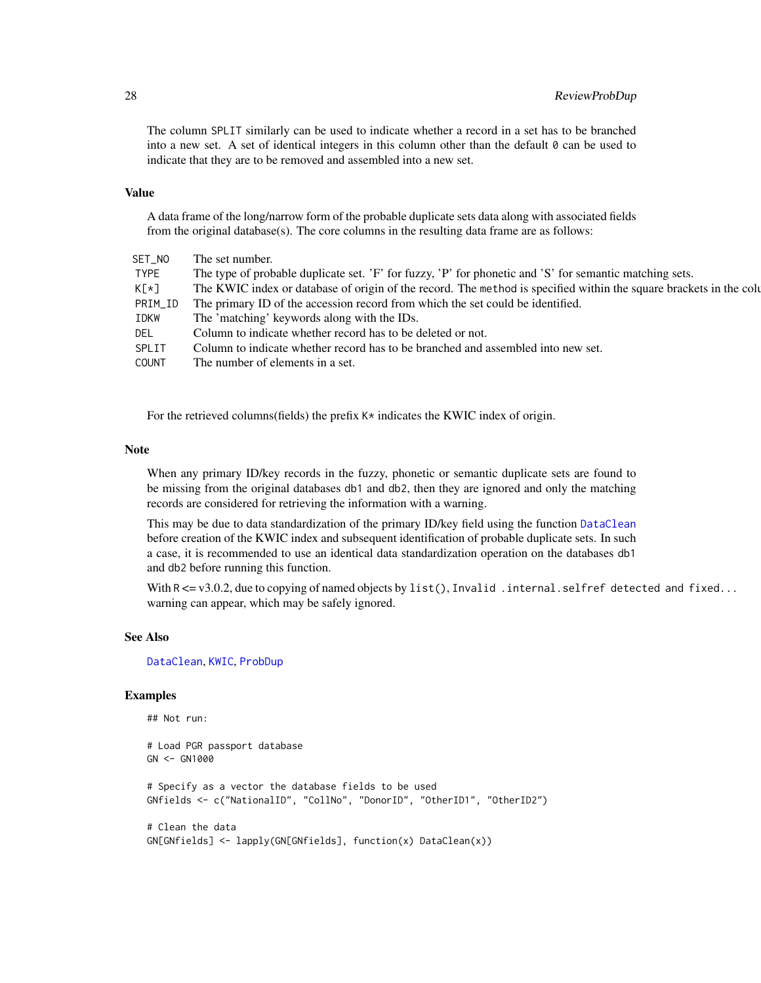# <span id="page-27-0"></span>28 ReviewProbDup

The column SPLIT similarly can be used to indicate whether a record in a set has to be branched into a new set. A set of identical integers in this column other than the default  $\theta$  can be used to indicate that they are to be removed and assembled into a new set.

#### Value

A data frame of the long/narrow form of the probable duplicate sets data along with associated fields from the original database(s). The core columns in the resulting data frame are as follows:

| SET NO       | The set number.                                                                                                    |
|--------------|--------------------------------------------------------------------------------------------------------------------|
| TYPE         | The type of probable duplicate set. 'F' for fuzzy, 'P' for phonetic and 'S' for semantic matching sets.            |
| $K[\star]$   | The KWIC index or database of origin of the record. The method is specified within the square brackets in the colu |
| PRIM_ID      | The primary ID of the accession record from which the set could be identified.                                     |
| IDKW         | The 'matching' keywords along with the IDs.                                                                        |
| DEL          | Column to indicate whether record has to be deleted or not.                                                        |
| SPLIT        | Column to indicate whether record has to be branched and assembled into new set.                                   |
| <b>COUNT</b> | The number of elements in a set.                                                                                   |
|              |                                                                                                                    |

For the retrieved columns(fields) the prefix  $K*$  indicates the KWIC index of origin.

# Note

When any primary ID/key records in the fuzzy, phonetic or semantic duplicate sets are found to be missing from the original databases db1 and db2, then they are ignored and only the matching records are considered for retrieving the information with a warning.

This may be due to data standardization of the primary ID/key field using the function [DataClean](#page-4-1) before creation of the KWIC index and subsequent identification of probable duplicate sets. In such a case, it is recommended to use an identical data standardization operation on the databases db1 and db2 before running this function.

With  $R \le v3.0.2$ , due to copying of named objects by list(), Invalid . internal. selfref detected and fixed... warning can appear, which may be safely ignored.

# See Also

[DataClean](#page-4-1), [KWIC](#page-10-1), [ProbDup](#page-18-1)

```
## Not run:
# Load PGR passport database
GN <- GN1000
# Specify as a vector the database fields to be used
GNfields <- c("NationalID", "CollNo", "DonorID", "OtherID1", "OtherID2")
# Clean the data
GN[GNfields] <- lapply(GN[GNfields], function(x) DataClean(x))
```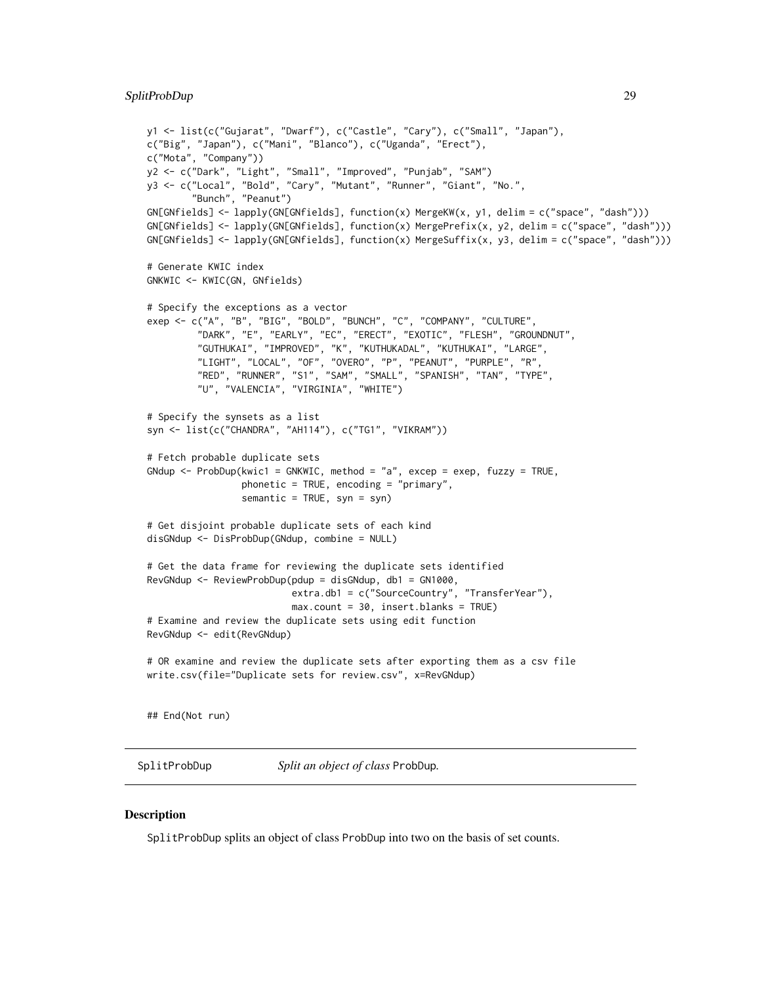```
y1 <- list(c("Gujarat", "Dwarf"), c("Castle", "Cary"), c("Small", "Japan"),
c("Big", "Japan"), c("Mani", "Blanco"), c("Uganda", "Erect"),
c("Mota", "Company"))
y2 <- c("Dark", "Light", "Small", "Improved", "Punjab", "SAM")
y3 <- c("Local", "Bold", "Cary", "Mutant", "Runner", "Giant", "No.",
        "Bunch", "Peanut")
GN[GNfields] <- lapply(GN[GNfields], function(x) MergeKW(x, y1, delim = c("space", "dash")))
GN[GNfields] <- lapply(GN[GNfields], function(x) MergePrefix(x, y2, delim = c("space", "dash")))
GN[GNfields] <- lapply(GN[GNfields], function(x) MergeSuffix(x, y3, delim = c("space", "dash")))
# Generate KWIC index
GNKWIC <- KWIC(GN, GNfields)
# Specify the exceptions as a vector
exep <- c("A", "B", "BIG", "BOLD", "BUNCH", "C", "COMPANY", "CULTURE",
         "DARK", "E", "EARLY", "EC", "ERECT", "EXOTIC", "FLESH", "GROUNDNUT",
         "GUTHUKAI", "IMPROVED", "K", "KUTHUKADAL", "KUTHUKAI", "LARGE",
         "LIGHT", "LOCAL", "OF", "OVERO", "P", "PEANUT", "PURPLE", "R",
         "RED", "RUNNER", "S1", "SAM", "SMALL", "SPANISH", "TAN", "TYPE",
         "U", "VALENCIA", "VIRGINIA", "WHITE")
# Specify the synsets as a list
syn <- list(c("CHANDRA", "AH114"), c("TG1", "VIKRAM"))
# Fetch probable duplicate sets
GNdup <- ProbDup(kwic1 = GNKWIC, method = "a", excep = exep, fuzzy = TRUE,
                 phonetic = TRUE, encoding = "primary",
                 semantic = TRUE, syn = syn)# Get disjoint probable duplicate sets of each kind
disGNdup <- DisProbDup(GNdup, combine = NULL)
# Get the data frame for reviewing the duplicate sets identified
RevGNdup <- ReviewProbDup(pdup = disGNdup, db1 = GN1000,
                          extra.db1 = c("SourceCountry", "TransferYear"),
                          max.count = 30, insert.blanks = TRUE)
# Examine and review the duplicate sets using edit function
RevGNdup <- edit(RevGNdup)
# OR examine and review the duplicate sets after exporting them as a csv file
write.csv(file="Duplicate sets for review.csv", x=RevGNdup)
## End(Not run)
```
<span id="page-28-1"></span>SplitProbDup *Split an object of class* ProbDup*.*

### Description

SplitProbDup splits an object of class ProbDup into two on the basis of set counts.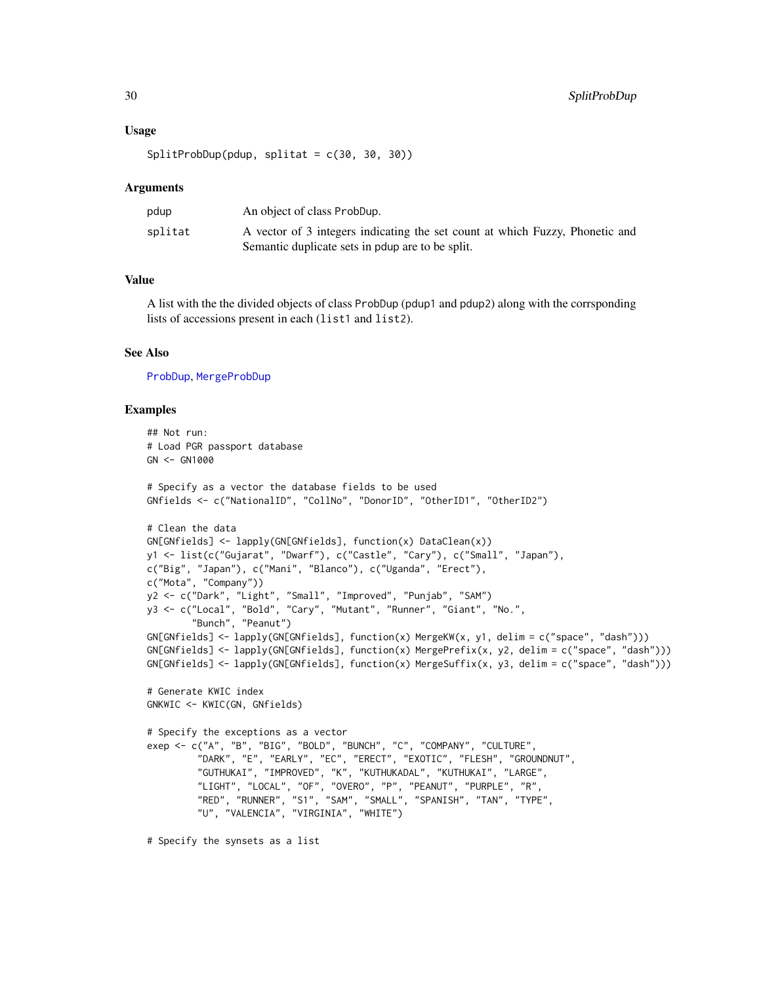#### <span id="page-29-0"></span>Usage

SplitProbDup(pdup, splitat = c(30, 30, 30))

#### Arguments

| pdup    | An object of class ProbDup.                                                  |
|---------|------------------------------------------------------------------------------|
| splitat | A vector of 3 integers indicating the set count at which Fuzzy, Phonetic and |
|         | Semantic duplicate sets in poup are to be split.                             |

# Value

A list with the the divided objects of class ProbDup (pdup1 and pdup2) along with the corrsponding lists of accessions present in each (list1 and list2).

#### See Also

[ProbDup](#page-18-1), [MergeProbDup](#page-13-1)

```
## Not run:
# Load PGR passport database
GN < - GN1000# Specify as a vector the database fields to be used
GNfields <- c("NationalID", "CollNo", "DonorID", "OtherID1", "OtherID2")
# Clean the data
GN[GNfields] <- lapply(GN[GNfields], function(x) DataClean(x))
y1 <- list(c("Gujarat", "Dwarf"), c("Castle", "Cary"), c("Small", "Japan"),
c("Big", "Japan"), c("Mani", "Blanco"), c("Uganda", "Erect"),
c("Mota", "Company"))
y2 <- c("Dark", "Light", "Small", "Improved", "Punjab", "SAM")
y3 \leftarrow c("Local", "Bold", "Cary", "Mutant", "Runner", "Giant", "No.""Bunch", "Peanut")
GN[GNfields] <- lapply(GN[GNfields], function(x) MergeKW(x, y1, delim = c("space", "dash")))
GN[GNfields] <- lapply(GN[GNfields], function(x) MergePrefix(x, y2, delim = c("space", "dash")))
GN[GNfields] <- lapply(GN[GNfields], function(x) MergeSuffix(x, y3, delim = c("space", "dash")))
# Generate KWIC index
GNKWIC <- KWIC(GN, GNfields)
# Specify the exceptions as a vector
exep <- c("A", "B", "BIG", "BOLD", "BUNCH", "C", "COMPANY", "CULTURE",
         "DARK", "E", "EARLY", "EC", "ERECT", "EXOTIC", "FLESH", "GROUNDNUT",
         "GUTHUKAI", "IMPROVED", "K", "KUTHUKADAL", "KUTHUKAI", "LARGE",
         "LIGHT", "LOCAL", "OF", "OVERO", "P", "PEANUT", "PURPLE", "R",
         "RED", "RUNNER", "S1", "SAM", "SMALL", "SPANISH", "TAN", "TYPE",
         "U", "VALENCIA", "VIRGINIA", "WHITE")
# Specify the synsets as a list
```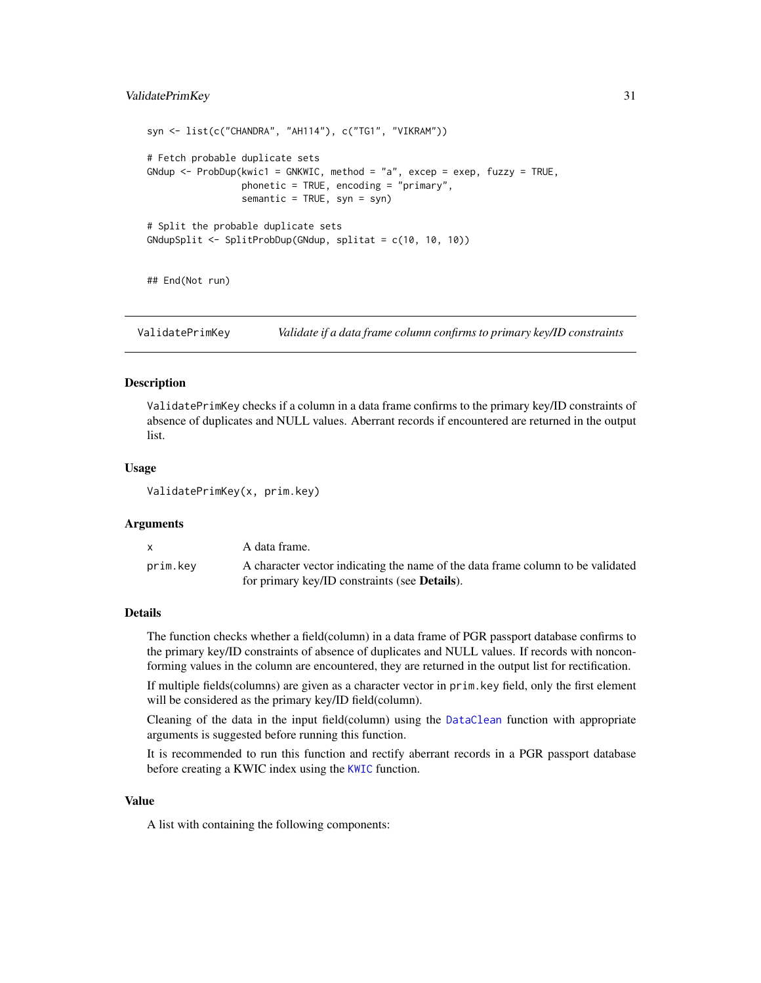# <span id="page-30-0"></span>ValidatePrimKey 31

```
syn <- list(c("CHANDRA", "AH114"), c("TG1", "VIKRAM"))
# Fetch probable duplicate sets
GNdup <- Probability(kwic1 = GNKWIC, method = "a", except = except, fuzzy = TRUE,phonetic = TRUE, encoding = "primary",
                 semantic = TRUE, syn = syn)
# Split the probable duplicate sets
GNdupSplit <- SplitProbDup(GNdup, splitat = c(10, 10, 10))
## End(Not run)
```
ValidatePrimKey *Validate if a data frame column confirms to primary key/ID constraints*

#### Description

ValidatePrimKey checks if a column in a data frame confirms to the primary key/ID constraints of absence of duplicates and NULL values. Aberrant records if encountered are returned in the output list.

#### Usage

ValidatePrimKey(x, prim.key)

### Arguments

| $\mathbf{x}$ | A data frame.                                                                                                                            |
|--------------|------------------------------------------------------------------------------------------------------------------------------------------|
| prim.key     | A character vector indicating the name of the data frame column to be validated<br>for primary key/ID constraints (see <b>Details</b> ). |

# Details

The function checks whether a field(column) in a data frame of PGR passport database confirms to the primary key/ID constraints of absence of duplicates and NULL values. If records with nonconforming values in the column are encountered, they are returned in the output list for rectification.

If multiple fields(columns) are given as a character vector in prim.key field, only the first element will be considered as the primary key/ID field(column).

Cleaning of the data in the input field(column) using the [DataClean](#page-4-1) function with appropriate arguments is suggested before running this function.

It is recommended to run this function and rectify aberrant records in a PGR passport database before creating a KWIC index using the [KWIC](#page-10-1) function.

### Value

A list with containing the following components: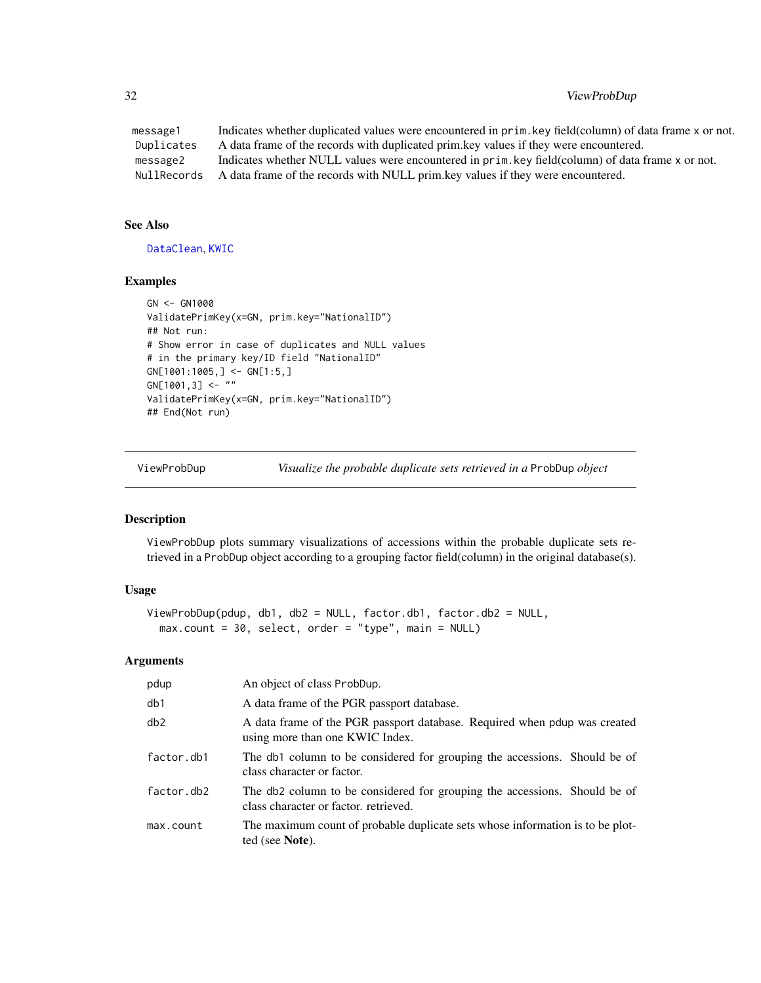# <span id="page-31-0"></span>32 ViewProbDup

message1 Indicates whether duplicated values were encountered in prim.key field(column) of data frame x or not. Duplicates A data frame of the records with duplicated prim.key values if they were encountered. message2 Indicates whether NULL values were encountered in prim.key field(column) of data frame x or not. NullRecords A data frame of the records with NULL prim.key values if they were encountered.

# See Also

[DataClean](#page-4-1), [KWIC](#page-10-1)

#### Examples

```
GN <- GN1000
ValidatePrimKey(x=GN, prim.key="NationalID")
## Not run:
# Show error in case of duplicates and NULL values
# in the primary key/ID field "NationalID"
GN[1001:1005,] <- GN[1:5,]
GN[1001,3] <- ""
ValidatePrimKey(x=GN, prim.key="NationalID")
## End(Not run)
```
ViewProbDup *Visualize the probable duplicate sets retrieved in a* ProbDup *object*

# Description

ViewProbDup plots summary visualizations of accessions within the probable duplicate sets retrieved in a ProbDup object according to a grouping factor field(column) in the original database(s).

# Usage

```
ViewProbDup(pdup, db1, db2 = NULL, factor.db1, factor.db2 = NULL,
 max.count = 30, select, order = "type", main = NULL)
```
#### Arguments

| pdup       | An object of class ProbDup.                                                                                        |
|------------|--------------------------------------------------------------------------------------------------------------------|
| db1        | A data frame of the PGR passport database.                                                                         |
| db2        | A data frame of the PGR passport database. Required when pdup was created<br>using more than one KWIC Index.       |
| factor.db1 | The db1 column to be considered for grouping the accessions. Should be of<br>class character or factor.            |
| factor.db2 | The db2 column to be considered for grouping the accessions. Should be of<br>class character or factor, retrieved. |
| max.count  | The maximum count of probable duplicate sets whose information is to be plot-<br>ted (see <b>Note</b> ).           |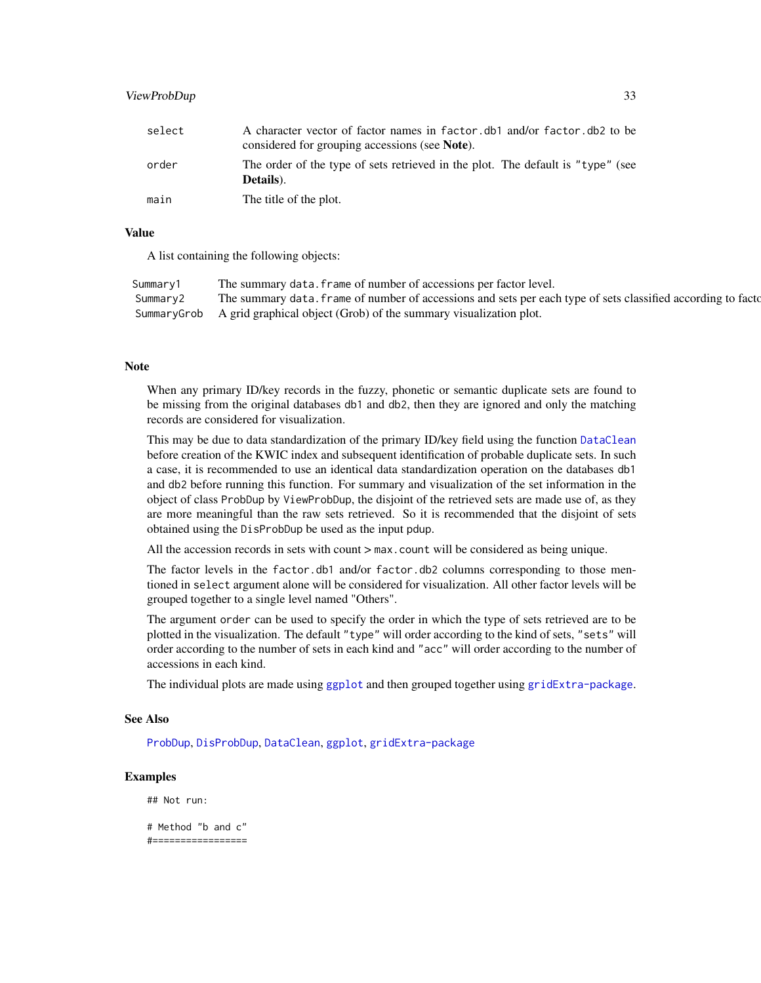# <span id="page-32-0"></span>ViewProbDup 33

| select | A character vector of factor names in factor db and/or factor db 2 to be<br>considered for grouping accessions (see Note). |
|--------|----------------------------------------------------------------------------------------------------------------------------|
| order  | The order of the type of sets retrieved in the plot. The default is "type" (see<br>Details).                               |
| main   | The title of the plot.                                                                                                     |

#### Value

A list containing the following objects:

| Summary1 | The summary data. frame of number of accessions per factor level.                                              |
|----------|----------------------------------------------------------------------------------------------------------------|
| Summary2 | The summary data, frame of number of accessions and sets per each type of sets classified according to factor- |
|          | Summary Grob A grid graphical object (Grob) of the summary visualization plot.                                 |

#### **Note**

When any primary ID/key records in the fuzzy, phonetic or semantic duplicate sets are found to be missing from the original databases db1 and db2, then they are ignored and only the matching records are considered for visualization.

This may be due to data standardization of the primary ID/key field using the function [DataClean](#page-4-1) before creation of the KWIC index and subsequent identification of probable duplicate sets. In such a case, it is recommended to use an identical data standardization operation on the databases db1 and db2 before running this function. For summary and visualization of the set information in the object of class ProbDup by ViewProbDup, the disjoint of the retrieved sets are made use of, as they are more meaningful than the raw sets retrieved. So it is recommended that the disjoint of sets obtained using the DisProbDup be used as the input pdup.

All the accession records in sets with count  $>$  max.count will be considered as being unique.

The factor levels in the factor.db1 and/or factor.db2 columns corresponding to those mentioned in select argument alone will be considered for visualization. All other factor levels will be grouped together to a single level named "Others".

The argument order can be used to specify the order in which the type of sets retrieved are to be plotted in the visualization. The default "type" will order according to the kind of sets, "sets" will order according to the number of sets in each kind and "acc" will order according to the number of accessions in each kind.

The individual plots are made using [ggplot](#page-0-0) and then grouped together using [gridExtra-package](#page-0-0).

# See Also

[ProbDup](#page-18-1), [DisProbDup](#page-5-1), [DataClean](#page-4-1), [ggplot](#page-0-0), [gridExtra-package](#page-0-0)

# Examples

## Not run:

# Method "b and c" #=================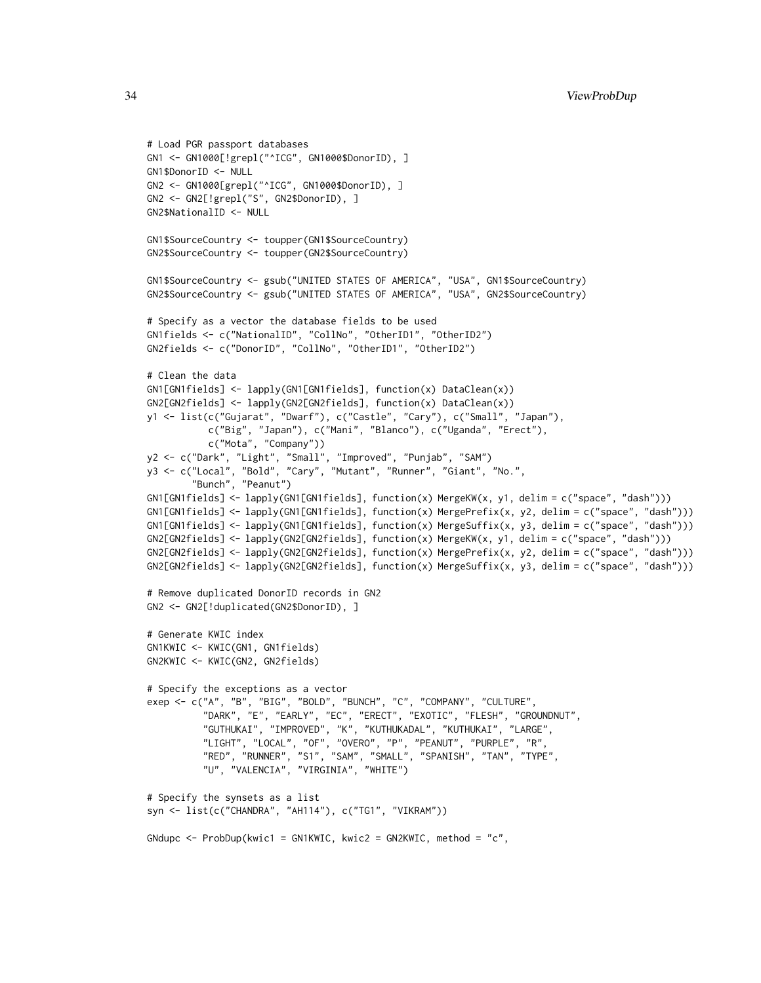```
# Load PGR passport databases
GN1 <- GN1000[!grepl("^ICG", GN1000$DonorID), ]
GN1$DonorID <- NULL
GN2 <- GN1000[grepl("^ICG", GN1000$DonorID), ]
GN2 <- GN2[!grepl("S", GN2$DonorID), ]
GN2$NationalID <- NULL
GN1$SourceCountry <- toupper(GN1$SourceCountry)
GN2$SourceCountry <- toupper(GN2$SourceCountry)
GN1$SourceCountry <- gsub("UNITED STATES OF AMERICA", "USA", GN1$SourceCountry)
GN2$SourceCountry <- gsub("UNITED STATES OF AMERICA", "USA", GN2$SourceCountry)
# Specify as a vector the database fields to be used
GN1fields <- c("NationalID", "CollNo", "OtherID1", "OtherID2")
GN2fields <- c("DonorID", "CollNo", "OtherID1", "OtherID2")
# Clean the data
GN1[GN1fields] <- lapply(GN1[GN1fields], function(x) DataClean(x))
GN2[GN2fields] <- lapply(GN2[GN2fields], function(x) DataClean(x))
y1 <- list(c("Gujarat", "Dwarf"), c("Castle", "Cary"), c("Small", "Japan"),
           c("Big", "Japan"), c("Mani", "Blanco"), c("Uganda", "Erect"),
           c("Mota", "Company"))
y2 <- c("Dark", "Light", "Small", "Improved", "Punjab", "SAM")
y3 <- c("Local", "Bold", "Cary", "Mutant", "Runner", "Giant", "No.",
        "Bunch", "Peanut")
GN1[GN1fields] <- lapply(GN1[GN1fields], function(x) MergeKW(x, y1, delim = c("space", "dash")))
GN1[GN1fields] <- lapply(GN1[GN1fields], function(x) MergePrefix(x, y2, delim = c("space", "dash")))
GN1[GN1fields] <- lapply(GN1[GN1fields], function(x) MergeSuffix(x, y3, delim = c("space", "dash")))
GN2[GN2fields] <- lapply(GN2[GN2fields], function(x) MergeKW(x, y1, delim = c("space", "dash")))
GN2[GN2fields] <- lapply(GN2[GN2fields], function(x) MergePrefix(x, y2, delim = c("space", "dash")))
GN2[GN2fields] <- lapply(GN2[GN2fields], function(x) MergeSuffix(x, y3, delim = c("space", "dash")))
# Remove duplicated DonorID records in GN2
GN2 <- GN2[!duplicated(GN2$DonorID), ]
# Generate KWIC index
GN1KWIC <- KWIC(GN1, GN1fields)
GN2KWIC <- KWIC(GN2, GN2fields)
# Specify the exceptions as a vector
exep <- c("A", "B", "BIG", "BOLD", "BUNCH", "C", "COMPANY", "CULTURE",
          "DARK", "E", "EARLY", "EC", "ERECT", "EXOTIC", "FLESH", "GROUNDNUT",
          "GUTHUKAI", "IMPROVED", "K", "KUTHUKADAL", "KUTHUKAI", "LARGE",
          "LIGHT", "LOCAL", "OF", "OVERO", "P", "PEANUT", "PURPLE", "R",
          "RED", "RUNNER", "S1", "SAM", "SMALL", "SPANISH", "TAN", "TYPE",
          "U", "VALENCIA", "VIRGINIA", "WHITE")
# Specify the synsets as a list
syn <- list(c("CHANDRA", "AH114"), c("TG1", "VIKRAM"))
GNdupc \leq- ProbDup(kwic1 = GN1KWIC, kwic2 = GN2KWIC, method = "c",
```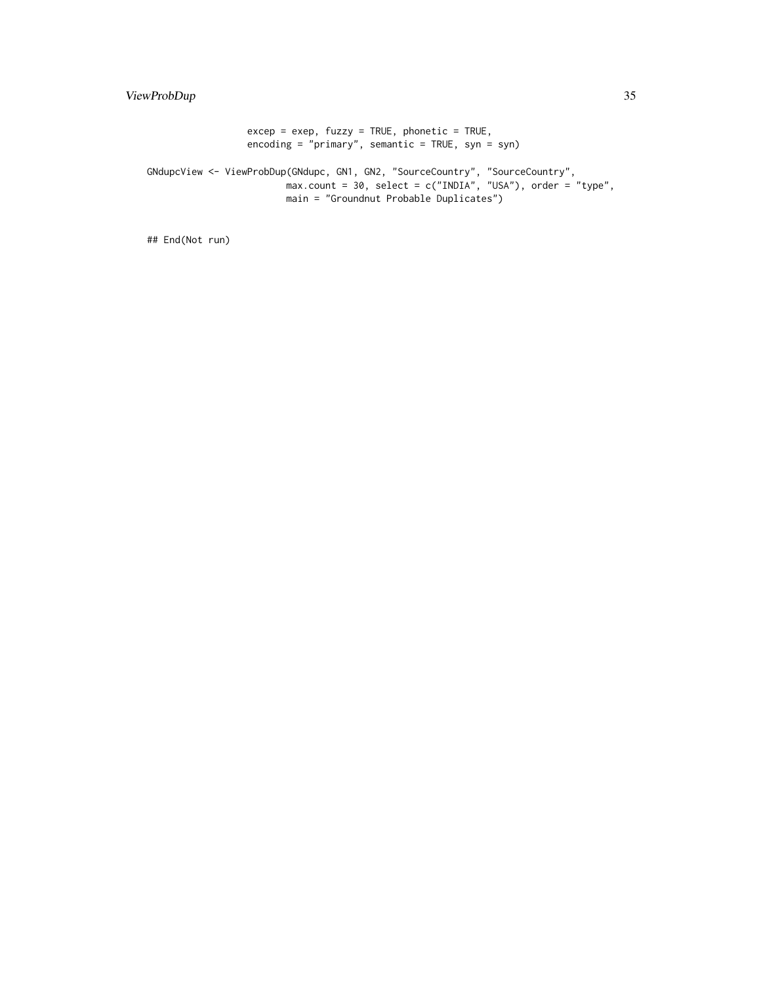$excep = exep, fuzzy = TRUE, phonetic = TRUE,$ encoding = "primary", semantic = TRUE, syn = syn)

GNdupcView <- ViewProbDup(GNdupc, GN1, GN2, "SourceCountry", "SourceCountry", max.count = 30, select = c("INDIA", "USA"), order = "type", main = "Groundnut Probable Duplicates")

## End(Not run)